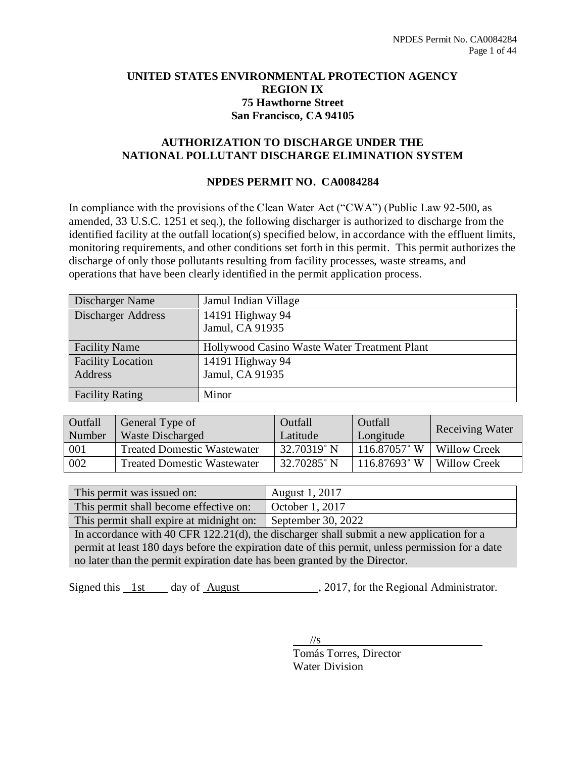## **UNITED STATES ENVIRONMENTAL PROTECTION AGENCY REGION IX 75 Hawthorne Street San Francisco, CA 94105**

## **AUTHORIZATION TO DISCHARGE UNDER THE NATIONAL POLLUTANT DISCHARGE ELIMINATION SYSTEM**

## **NPDES PERMIT NO. CA0084284**

In compliance with the provisions of the Clean Water Act ("CWA") (Public Law 92-500, as amended, 33 U.S.C. 1251 et seq.), the following discharger is authorized to discharge from the identified facility at the outfall location(s) specified below, in accordance with the effluent limits, monitoring requirements, and other conditions set forth in this permit. This permit authorizes the discharge of only those pollutants resulting from facility processes, waste streams, and operations that have been clearly identified in the permit application process.

| Discharger Name           | Jamul Indian Village                         |
|---------------------------|----------------------------------------------|
| <b>Discharger Address</b> | 14191 Highway 94                             |
|                           | Jamul, CA 91935                              |
| <b>Facility Name</b>      | Hollywood Casino Waste Water Treatment Plant |
| <b>Facility Location</b>  | 14191 Highway 94                             |
| Address                   | Jamul, CA 91935                              |
|                           |                                              |
| <b>Facility Rating</b>    | Minor                                        |

| Outfall | General Type of                    | Outfall        | Outfall         | <b>Receiving Water</b> |  |  |
|---------|------------------------------------|----------------|-----------------|------------------------|--|--|
| Number  | <b>Waste Discharged</b>            | Latitude       | Longitude       |                        |  |  |
| 001     | <b>Treated Domestic Wastewater</b> | $32.70319$ ° N | $116.87057$ °W  | Willow Creek           |  |  |
| 002     | <b>Treated Domestic Wastewater</b> | 32.70285° N    | $116.87693$ ° W | <b>Willow Creek</b>    |  |  |

| This permit was issued on:                                  | <b>August 1, 2017</b> |
|-------------------------------------------------------------|-----------------------|
| This permit shall become effective on:                      | October $1, 2017$     |
| This permit shall expire at midnight on: September 30, 2022 |                       |

In accordance with 40 CFR 122.21(d), the discharger shall submit a new application for a permit at least 180 days before the expiration date of this permit, unless permission for a date no later than the permit expiration date has been granted by the Director.

Signed this 1st day of August , 2017, for the Regional Administrator.

 $\frac{1}{s}$ Tomás Torres, Director Water Division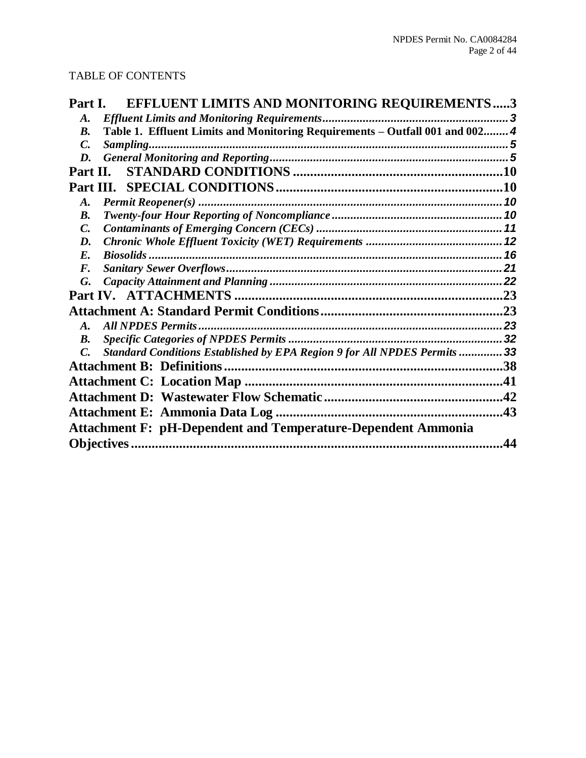## TABLE OF CONTENTS

| Part I.<br>EFFLUENT LIMITS AND MONITORING REQUIREMENTS3                                      |     |
|----------------------------------------------------------------------------------------------|-----|
| A.                                                                                           |     |
| Table 1. Effluent Limits and Monitoring Requirements - Outfall 001 and 002 4<br>B.           |     |
| $\mathcal{C}$ .                                                                              |     |
| D.                                                                                           |     |
| Part II.                                                                                     |     |
|                                                                                              |     |
| $\boldsymbol{A}$ .                                                                           |     |
| <b>B.</b>                                                                                    |     |
| C.                                                                                           |     |
| D.                                                                                           |     |
| $E$ .                                                                                        |     |
| $\boldsymbol{F}$ .                                                                           |     |
| G.                                                                                           |     |
|                                                                                              | .23 |
|                                                                                              |     |
| $\boldsymbol{A}$ .                                                                           |     |
| B.                                                                                           |     |
| Standard Conditions Established by EPA Region 9 for All NPDES Permits  33<br>$\mathcal{C}$ . |     |
|                                                                                              | .38 |
|                                                                                              | .41 |
|                                                                                              | .42 |
|                                                                                              | .43 |
| <b>Attachment F: pH-Dependent and Temperature-Dependent Ammonia</b>                          |     |
|                                                                                              | 44  |
|                                                                                              |     |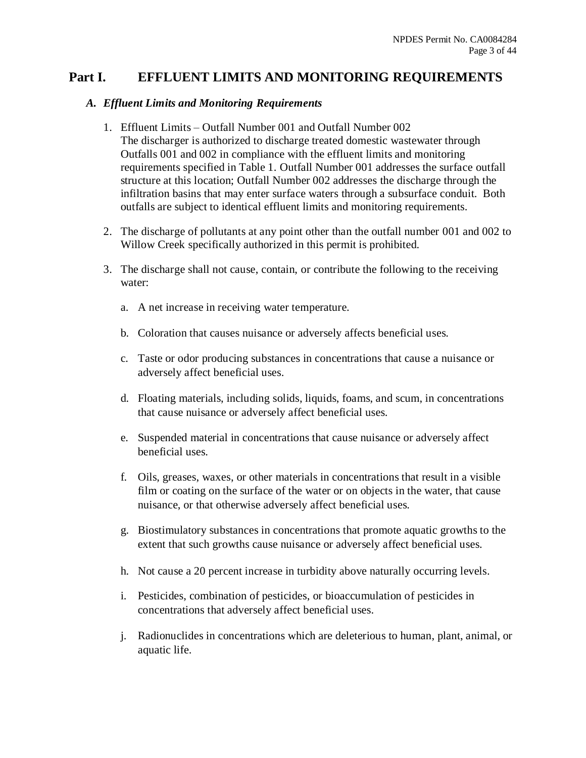## **Part I. EFFLUENT LIMITS AND MONITORING REQUIREMENTS**

### *A. Effluent Limits and Monitoring Requirements*

- 1. Effluent Limits Outfall Number 001 and Outfall Number 002 The discharger is authorized to discharge treated domestic wastewater through Outfalls 001 and 002 in compliance with the effluent limits and monitoring requirements specified in Table 1. Outfall Number 001 addresses the surface outfall structure at this location; Outfall Number 002 addresses the discharge through the infiltration basins that may enter surface waters through a subsurface conduit. Both outfalls are subject to identical effluent limits and monitoring requirements.
- 2. The discharge of pollutants at any point other than the outfall number 001 and 002 to Willow Creek specifically authorized in this permit is prohibited.
- 3. The discharge shall not cause, contain, or contribute the following to the receiving water:
	- a. A net increase in receiving water temperature.
	- b. Coloration that causes nuisance or adversely affects beneficial uses.
	- c. Taste or odor producing substances in concentrations that cause a nuisance or adversely affect beneficial uses.
	- d. Floating materials, including solids, liquids, foams, and scum, in concentrations that cause nuisance or adversely affect beneficial uses.
	- e. Suspended material in concentrations that cause nuisance or adversely affect beneficial uses.
	- f. Oils, greases, waxes, or other materials in concentrations that result in a visible film or coating on the surface of the water or on objects in the water, that cause nuisance, or that otherwise adversely affect beneficial uses.
	- g. Biostimulatory substances in concentrations that promote aquatic growths to the extent that such growths cause nuisance or adversely affect beneficial uses.
	- h. Not cause a 20 percent increase in turbidity above naturally occurring levels.
	- i. Pesticides, combination of pesticides, or bioaccumulation of pesticides in concentrations that adversely affect beneficial uses.
	- j. Radionuclides in concentrations which are deleterious to human, plant, animal, or aquatic life.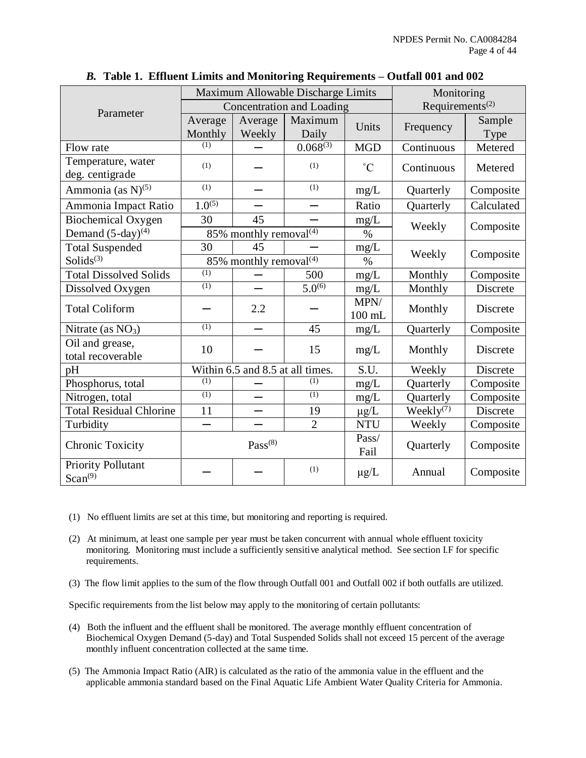|                                  |                  | Maximum Allowable Discharge Limits | Monitoring                |                 |                             |            |  |
|----------------------------------|------------------|------------------------------------|---------------------------|-----------------|-----------------------------|------------|--|
| Parameter                        |                  |                                    | Concentration and Loading |                 | Requirements <sup>(2)</sup> |            |  |
|                                  | Average          | Average                            | Maximum                   | Units           | Frequency                   | Sample     |  |
|                                  | Monthly          | Weekly                             | Daily                     |                 |                             | Type       |  |
| Flow rate                        | (1)              |                                    | $0.068^{(3)}$             | <b>MGD</b>      | Continuous                  | Metered    |  |
| Temperature, water               | (1)              |                                    | (1)                       | $\rm ^{\circ}C$ | Continuous                  |            |  |
| deg. centigrade                  |                  |                                    |                           |                 |                             | Metered    |  |
| Ammonia (as $N$ ) <sup>(5)</sup> | (1)              |                                    | (1)                       | mg/L            | Quarterly                   | Composite  |  |
| Ammonia Impact Ratio             | $1.0^{(5)}$      |                                    |                           | Ratio           | Quarterly                   | Calculated |  |
| <b>Biochemical Oxygen</b>        | 30               | 45                                 |                           | mg/L            | Weekly                      |            |  |
| Demand $(5-day)^{(4)}$           |                  | 85% monthly removal <sup>(4)</sup> |                           | $\%$            |                             | Composite  |  |
| <b>Total Suspended</b>           | 30               | 45                                 |                           | mg/L            | Weekly                      |            |  |
| Solids $(3)$                     |                  | 85% monthly removal $\sqrt[4]{ }$  |                           | $\%$            |                             | Composite  |  |
| <b>Total Dissolved Solids</b>    | (1)              |                                    | 500                       | mg/L            | Monthly                     | Composite  |  |
| Dissolved Oxygen                 | $\overline{(1)}$ |                                    | $5.\overline{0^{(6)}}$    | mg/L            | Monthly                     | Discrete   |  |
| <b>Total Coliform</b>            |                  | 2.2                                |                           | MPN/            | Monthly                     | Discrete   |  |
|                                  |                  |                                    |                           | $100$ mL        |                             |            |  |
| Nitrate (as $NO3$ )              | (1)              |                                    | 45                        | mg/L            | Quarterly                   | Composite  |  |
| Oil and grease,                  | 10               |                                    | 15                        | mg/L            | Monthly                     | Discrete   |  |
| total recoverable                |                  |                                    |                           |                 |                             |            |  |
| pH                               |                  | Within 6.5 and 8.5 at all times.   |                           | S.U.            | Weekly                      | Discrete   |  |
| Phosphorus, total                | (1)              |                                    | (1)                       | mg/L            | Quarterly                   | Composite  |  |
| Nitrogen, total                  | (1)              |                                    | (1)                       | mg/L            | Quarterly                   | Composite  |  |
| <b>Total Residual Chlorine</b>   | 11               |                                    | 19                        | $\mu$ g/L       | $\text{Weakly}^{(7)}$       | Discrete   |  |
| Turbidity                        |                  |                                    | $\overline{2}$            | <b>NTU</b>      | Weekly                      | Composite  |  |
| <b>Chronic Toxicity</b>          |                  | $Pass^{(8)}$                       |                           | Pass/           |                             |            |  |
|                                  |                  |                                    |                           | Fail            | Quarterly                   | Composite  |  |
| Priority Pollutant               |                  |                                    | (1)                       | $\mu$ g/L       | Annual                      | Composite  |  |
| Scan <sup>(9)</sup>              |                  |                                    |                           |                 |                             |            |  |

*B.* **Table 1. Effluent Limits and Monitoring Requirements – Outfall 001 and 002**

- (1) No effluent limits are set at this time, but monitoring and reporting is required.
- (2) At minimum, at least one sample per year must be taken concurrent with annual whole effluent toxicity monitoring. Monitoring must include a sufficiently sensitive analytical method. See section I.F for specific requirements.
- (3) The flow limit applies to the sum of the flow through Outfall 001 and Outfall 002 if both outfalls are utilized.

Specific requirements from the list below may apply to the monitoring of certain pollutants:

- (4) Both the influent and the effluent shall be monitored. The average monthly effluent concentration of Biochemical Oxygen Demand (5-day) and Total Suspended Solids shall not exceed 15 percent of the average monthly influent concentration collected at the same time.
- (5) The Ammonia Impact Ratio (AIR) is calculated as the ratio of the ammonia value in the effluent and the applicable ammonia standard based on the Final Aquatic Life Ambient Water Quality Criteria for Ammonia.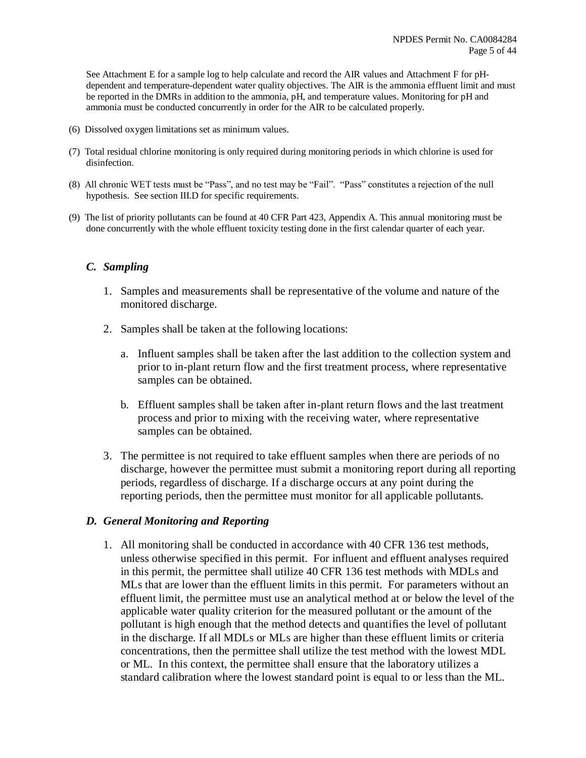See Attachment E for a sample log to help calculate and record the AIR values and Attachment F for pHdependent and temperature-dependent water quality objectives. The AIR is the ammonia effluent limit and must be reported in the DMRs in addition to the ammonia, pH, and temperature values. Monitoring for pH and ammonia must be conducted concurrently in order for the AIR to be calculated properly.

- (6) Dissolved oxygen limitations set as minimum values.
- (7) Total residual chlorine monitoring is only required during monitoring periods in which chlorine is used for disinfection.
- (8) All chronic WET tests must be "Pass", and no test may be "Fail". "Pass" constitutes a rejection of the null hypothesis. See section III.D for specific requirements.
- (9) The list of priority pollutants can be found at 40 CFR Part 423, Appendix A. This annual monitoring must be done concurrently with the whole effluent toxicity testing done in the first calendar quarter of each year.

#### *C. Sampling*

- 1. Samples and measurements shall be representative of the volume and nature of the monitored discharge.
- 2. Samples shall be taken at the following locations:
	- a. Influent samples shall be taken after the last addition to the collection system and prior to in-plant return flow and the first treatment process, where representative samples can be obtained.
	- b. Effluent samples shall be taken after in-plant return flows and the last treatment process and prior to mixing with the receiving water, where representative samples can be obtained.
- 3. The permittee is not required to take effluent samples when there are periods of no discharge, however the permittee must submit a monitoring report during all reporting periods, regardless of discharge. If a discharge occurs at any point during the reporting periods, then the permittee must monitor for all applicable pollutants.

#### *D. General Monitoring and Reporting*

1. All monitoring shall be conducted in accordance with 40 CFR 136 test methods, unless otherwise specified in this permit. For influent and effluent analyses required in this permit, the permittee shall utilize 40 CFR 136 test methods with MDLs and MLs that are lower than the effluent limits in this permit. For parameters without an effluent limit, the permittee must use an analytical method at or below the level of the applicable water quality criterion for the measured pollutant or the amount of the pollutant is high enough that the method detects and quantifies the level of pollutant in the discharge. If all MDLs or MLs are higher than these effluent limits or criteria concentrations, then the permittee shall utilize the test method with the lowest MDL or ML. In this context, the permittee shall ensure that the laboratory utilizes a standard calibration where the lowest standard point is equal to or less than the ML.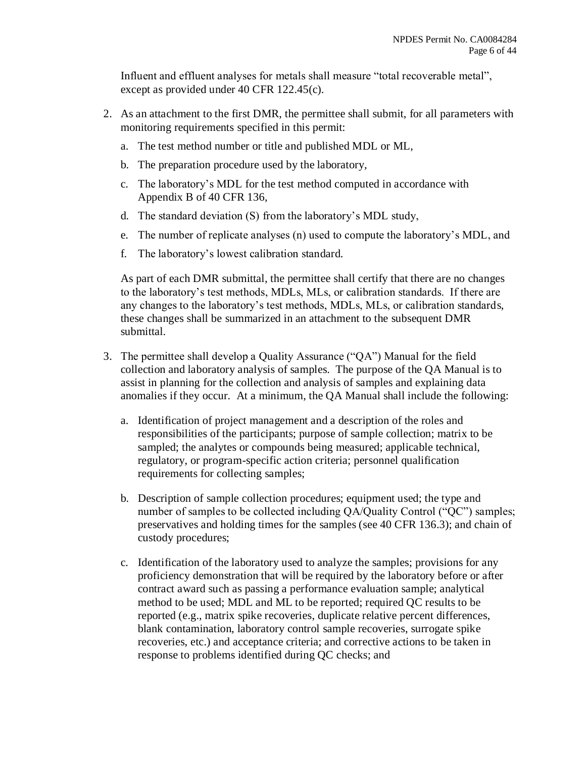Influent and effluent analyses for metals shall measure "total recoverable metal", except as provided under 40 CFR 122.45(c).

- 2. As an attachment to the first DMR, the permittee shall submit, for all parameters with monitoring requirements specified in this permit:
	- a. The test method number or title and published MDL or ML,
	- b. The preparation procedure used by the laboratory,
	- c. The laboratory's MDL for the test method computed in accordance with Appendix B of 40 CFR 136,
	- d. The standard deviation (S) from the laboratory's MDL study,
	- e. The number of replicate analyses (n) used to compute the laboratory's MDL, and
	- f. The laboratory's lowest calibration standard.

As part of each DMR submittal, the permittee shall certify that there are no changes to the laboratory's test methods, MDLs, MLs, or calibration standards. If there are any changes to the laboratory's test methods, MDLs, MLs, or calibration standards, these changes shall be summarized in an attachment to the subsequent DMR submittal.

- 3. The permittee shall develop a Quality Assurance ("QA") Manual for the field collection and laboratory analysis of samples. The purpose of the QA Manual is to assist in planning for the collection and analysis of samples and explaining data anomalies if they occur. At a minimum, the QA Manual shall include the following:
	- a. Identification of project management and a description of the roles and responsibilities of the participants; purpose of sample collection; matrix to be sampled; the analytes or compounds being measured; applicable technical, regulatory, or program-specific action criteria; personnel qualification requirements for collecting samples;
	- b. Description of sample collection procedures; equipment used; the type and number of samples to be collected including OA/Quality Control ("OC") samples; preservatives and holding times for the samples (see 40 CFR 136.3); and chain of custody procedures;
	- c. Identification of the laboratory used to analyze the samples; provisions for any proficiency demonstration that will be required by the laboratory before or after contract award such as passing a performance evaluation sample; analytical method to be used; MDL and ML to be reported; required QC results to be reported (e.g., matrix spike recoveries, duplicate relative percent differences, blank contamination, laboratory control sample recoveries, surrogate spike recoveries, etc.) and acceptance criteria; and corrective actions to be taken in response to problems identified during QC checks; and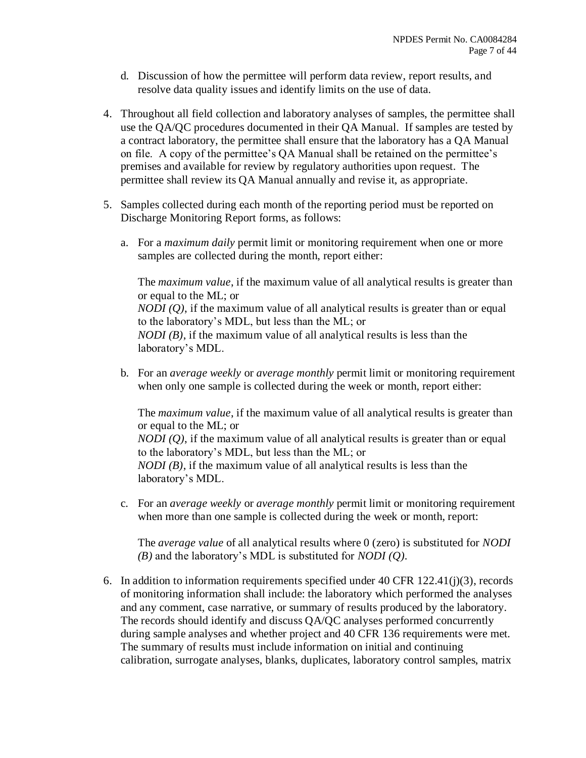- d. Discussion of how the permittee will perform data review, report results, and resolve data quality issues and identify limits on the use of data.
- 4. Throughout all field collection and laboratory analyses of samples, the permittee shall use the QA/QC procedures documented in their QA Manual. If samples are tested by a contract laboratory, the permittee shall ensure that the laboratory has a QA Manual on file. A copy of the permittee's QA Manual shall be retained on the permittee's premises and available for review by regulatory authorities upon request. The permittee shall review its QA Manual annually and revise it, as appropriate.
- 5. Samples collected during each month of the reporting period must be reported on Discharge Monitoring Report forms, as follows:
	- a. For a *maximum daily* permit limit or monitoring requirement when one or more samples are collected during the month, report either:

The *maximum value*, if the maximum value of all analytical results is greater than or equal to the ML; or *NODI* (*Q*), if the maximum value of all analytical results is greater than or equal to the laboratory's MDL, but less than the ML; or *NODI (B)*, if the maximum value of all analytical results is less than the laboratory's MDL.

b. For an *average weekly* or *average monthly* permit limit or monitoring requirement when only one sample is collected during the week or month, report either:

The *maximum value*, if the maximum value of all analytical results is greater than or equal to the ML; or *NODI* (Q), if the maximum value of all analytical results is greater than or equal to the laboratory's MDL, but less than the ML; or *NODI (B)*, if the maximum value of all analytical results is less than the laboratory's MDL.

c. For an *average weekly* or *average monthly* permit limit or monitoring requirement when more than one sample is collected during the week or month, report:

The *average value* of all analytical results where 0 (zero) is substituted for *NODI (B)* and the laboratory's MDL is substituted for *NODI (Q)*.

6. In addition to information requirements specified under 40 CFR 122.41(j)(3), records of monitoring information shall include: the laboratory which performed the analyses and any comment, case narrative, or summary of results produced by the laboratory. The records should identify and discuss QA/QC analyses performed concurrently during sample analyses and whether project and 40 CFR 136 requirements were met. The summary of results must include information on initial and continuing calibration, surrogate analyses, blanks, duplicates, laboratory control samples, matrix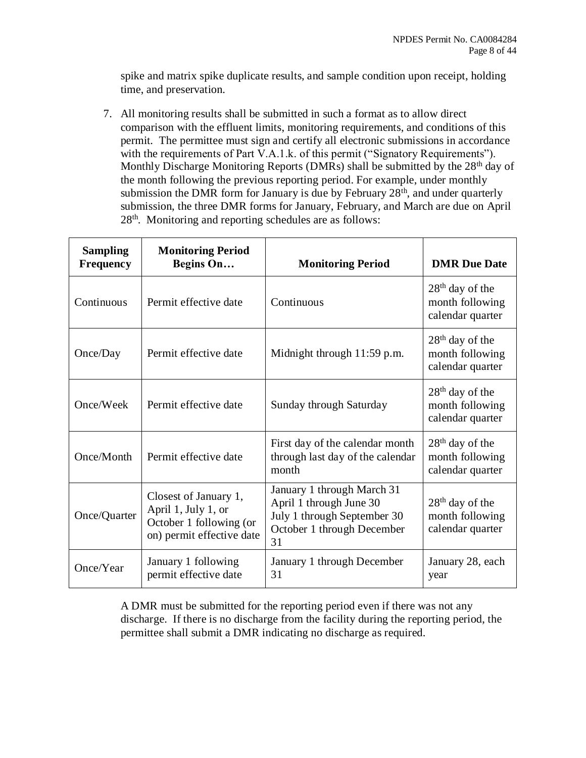spike and matrix spike duplicate results, and sample condition upon receipt, holding time, and preservation.

7. All monitoring results shall be submitted in such a format as to allow direct comparison with the effluent limits, monitoring requirements, and conditions of this permit. The permittee must sign and certify all electronic submissions in accordance with the requirements of Part V.A.1.k. of this permit ("Signatory Requirements"). Monthly Discharge Monitoring Reports (DMRs) shall be submitted by the 28<sup>th</sup> day of the month following the previous reporting period. For example, under monthly submission the DMR form for January is due by February  $28<sup>th</sup>$ , and under quarterly submission, the three DMR forms for January, February, and March are due on April 28<sup>th</sup>. Monitoring and reporting schedules are as follows:

| <b>Sampling</b><br><b>Frequency</b> | <b>Monitoring Period</b><br>Begins On                                                                | <b>Monitoring Period</b>                                                                                                 | <b>DMR</b> Due Date                                                |
|-------------------------------------|------------------------------------------------------------------------------------------------------|--------------------------------------------------------------------------------------------------------------------------|--------------------------------------------------------------------|
| Continuous                          | Permit effective date                                                                                | Continuous                                                                                                               | $28th$ day of the<br>month following<br>calendar quarter           |
| Once/Day                            | Permit effective date                                                                                | Midnight through 11:59 p.m.                                                                                              | $28th$ day of the<br>month following<br>calendar quarter           |
| Once/Week                           | Permit effective date                                                                                | Sunday through Saturday                                                                                                  | $28th$ day of the<br>month following<br>calendar quarter           |
| Once/Month                          | Permit effective date                                                                                | First day of the calendar month<br>through last day of the calendar<br>month                                             | $28th$ day of the<br>month following<br>calendar quarter           |
| Once/Quarter                        | Closest of January 1,<br>April 1, July 1, or<br>October 1 following (or<br>on) permit effective date | January 1 through March 31<br>April 1 through June 30<br>July 1 through September 30<br>October 1 through December<br>31 | 28 <sup>th</sup> day of the<br>month following<br>calendar quarter |
| Once/Year                           | January 1 following<br>permit effective date                                                         | January 1 through December<br>31                                                                                         | January 28, each<br>year                                           |

A DMR must be submitted for the reporting period even if there was not any discharge. If there is no discharge from the facility during the reporting period, the permittee shall submit a DMR indicating no discharge as required.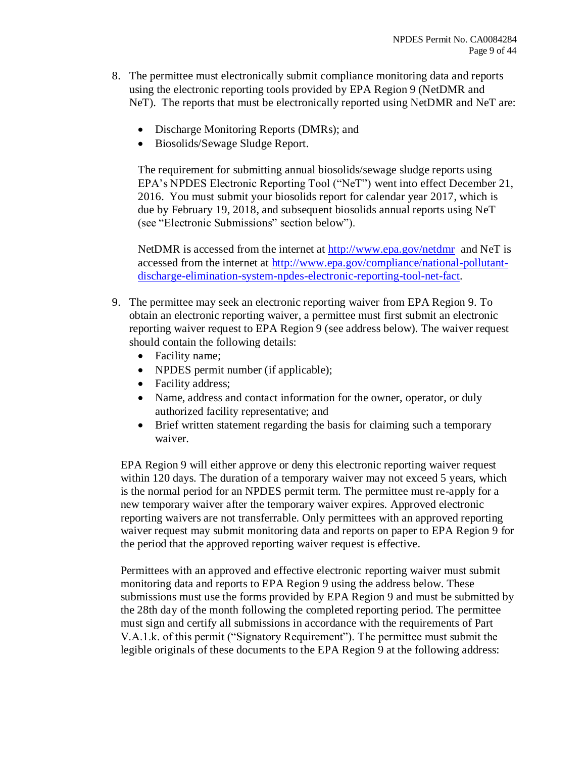- 8. The permittee must electronically submit compliance monitoring data and reports using the electronic reporting tools provided by EPA Region 9 (NetDMR and NeT). The reports that must be electronically reported using NetDMR and NeT are:
	- Discharge Monitoring Reports (DMRs); and
	- Biosolids/Sewage Sludge Report.

The requirement for submitting annual biosolids/sewage sludge reports using EPA's NPDES Electronic Reporting Tool ("NeT") went into effect December 21, 2016. You must submit your biosolids report for calendar year 2017, which is due by February 19, 2018, and subsequent biosolids annual reports using NeT (see "Electronic Submissions" section below").

NetDMR is accessed from the internet at<http://www.epa.gov/netdmr> and NeT is accessed from the internet at [http://www.epa.gov/compliance/national-pollutant](http://www.epa.gov/compliance/national-pollutant-discharge-elimination-system-npdes-electronic-reporting-tool-net-fact)[discharge-elimination-system-npdes-electronic-reporting-tool-net-fact.](http://www.epa.gov/compliance/national-pollutant-discharge-elimination-system-npdes-electronic-reporting-tool-net-fact)

- 9. The permittee may seek an electronic reporting waiver from EPA Region 9. To obtain an electronic reporting waiver, a permittee must first submit an electronic reporting waiver request to EPA Region 9 (see address below). The waiver request should contain the following details:
	- Facility name;
	- NPDES permit number (if applicable);
	- Facility address;
	- Name, address and contact information for the owner, operator, or duly authorized facility representative; and
	- Brief written statement regarding the basis for claiming such a temporary waiver.

EPA Region 9 will either approve or deny this electronic reporting waiver request within 120 days. The duration of a temporary waiver may not exceed 5 years, which is the normal period for an NPDES permit term. The permittee must re-apply for a new temporary waiver after the temporary waiver expires. Approved electronic reporting waivers are not transferrable. Only permittees with an approved reporting waiver request may submit monitoring data and reports on paper to EPA Region 9 for the period that the approved reporting waiver request is effective.

Permittees with an approved and effective electronic reporting waiver must submit monitoring data and reports to EPA Region 9 using the address below. These submissions must use the forms provided by EPA Region 9 and must be submitted by the 28th day of the month following the completed reporting period. The permittee must sign and certify all submissions in accordance with the requirements of Part V.A.1.k. of this permit ("Signatory Requirement"). The permittee must submit the legible originals of these documents to the EPA Region 9 at the following address: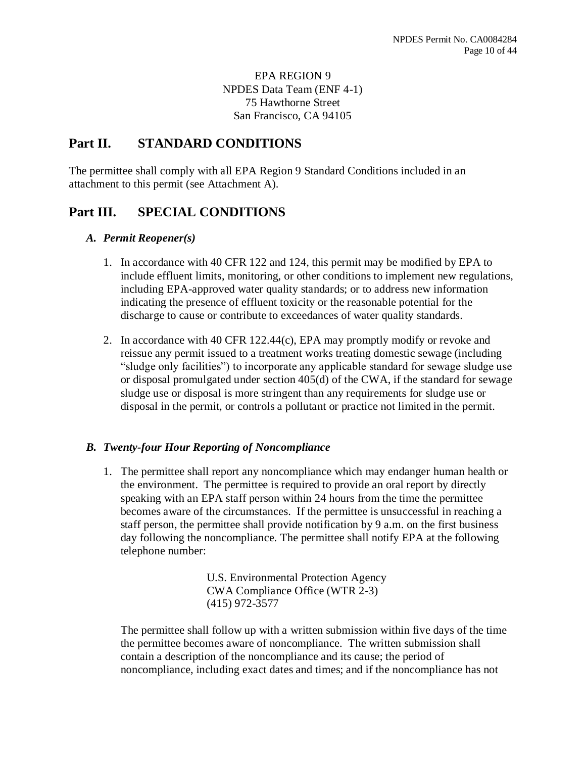## EPA REGION 9 NPDES Data Team (ENF 4-1) 75 Hawthorne Street San Francisco, CA 94105

# **Part II. STANDARD CONDITIONS**

The permittee shall comply with all EPA Region 9 Standard Conditions included in an attachment to this permit (see Attachment A).

# **Part III. SPECIAL CONDITIONS**

### *A. Permit Reopener(s)*

- 1. In accordance with 40 CFR 122 and 124, this permit may be modified by EPA to include effluent limits, monitoring, or other conditions to implement new regulations, including EPA-approved water quality standards; or to address new information indicating the presence of effluent toxicity or the reasonable potential for the discharge to cause or contribute to exceedances of water quality standards.
- 2. In accordance with 40 CFR 122.44(c), EPA may promptly modify or revoke and reissue any permit issued to a treatment works treating domestic sewage (including "sludge only facilities") to incorporate any applicable standard for sewage sludge use or disposal promulgated under section 405(d) of the CWA, if the standard for sewage sludge use or disposal is more stringent than any requirements for sludge use or disposal in the permit, or controls a pollutant or practice not limited in the permit.

## *B. Twenty-four Hour Reporting of Noncompliance*

1. The permittee shall report any noncompliance which may endanger human health or the environment. The permittee is required to provide an oral report by directly speaking with an EPA staff person within 24 hours from the time the permittee becomes aware of the circumstances. If the permittee is unsuccessful in reaching a staff person, the permittee shall provide notification by 9 a.m. on the first business day following the noncompliance. The permittee shall notify EPA at the following telephone number:

> U.S. Environmental Protection Agency CWA Compliance Office (WTR 2-3) (415) 972-3577

The permittee shall follow up with a written submission within five days of the time the permittee becomes aware of noncompliance. The written submission shall contain a description of the noncompliance and its cause; the period of noncompliance, including exact dates and times; and if the noncompliance has not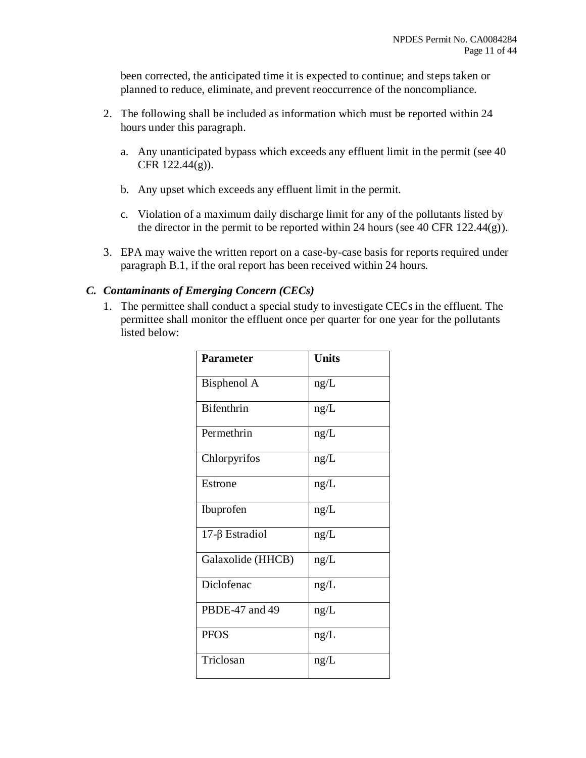been corrected, the anticipated time it is expected to continue; and steps taken or planned to reduce, eliminate, and prevent reoccurrence of the noncompliance.

- 2. The following shall be included as information which must be reported within 24 hours under this paragraph.
	- a. Any unanticipated bypass which exceeds any effluent limit in the permit (see 40 CFR 122.44(g)).
	- b. Any upset which exceeds any effluent limit in the permit.
	- c. Violation of a maximum daily discharge limit for any of the pollutants listed by the director in the permit to be reported within 24 hours (see 40 CFR 122.44 $(g)$ ).
- 3. EPA may waive the written report on a case-by-case basis for reports required under paragraph B.1, if the oral report has been received within 24 hours.

## *C. Contaminants of Emerging Concern (CECs)*

1. The permittee shall conduct a special study to investigate CECs in the effluent. The permittee shall monitor the effluent once per quarter for one year for the pollutants listed below:

| <b>Parameter</b>  | <b>Units</b> |
|-------------------|--------------|
| Bisphenol A       | ng/L         |
| <b>Bifenthrin</b> | ng/L         |
| Permethrin        | ng/L         |
| Chlorpyrifos      | ng/L         |
| Estrone           | ng/L         |
| Ibuprofen         | ng/L         |
| 17-β Estradiol    | ng/L         |
| Galaxolide (HHCB) | ng/L         |
| Diclofenac        | ng/L         |
| PBDE-47 and 49    | ng/L         |
| <b>PFOS</b>       | ng/L         |
| Triclosan         | ng/L         |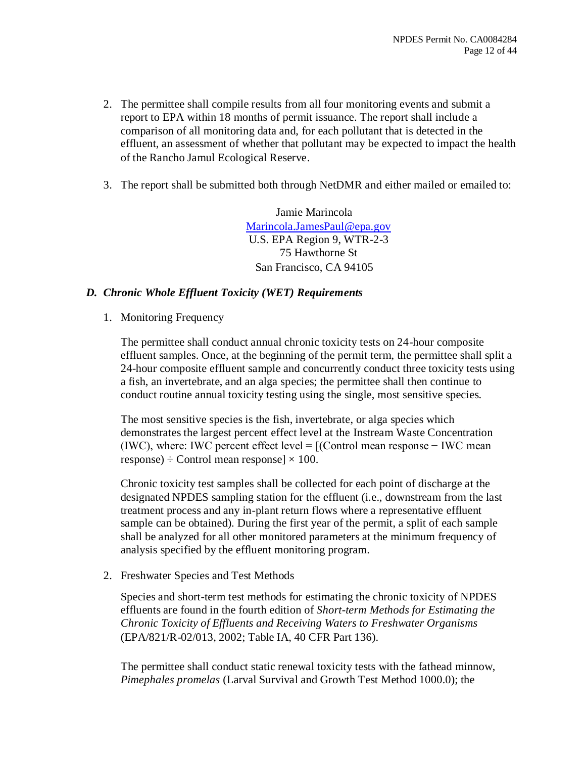- 2. The permittee shall compile results from all four monitoring events and submit a report to EPA within 18 months of permit issuance. The report shall include a comparison of all monitoring data and, for each pollutant that is detected in the effluent, an assessment of whether that pollutant may be expected to impact the health of the Rancho Jamul Ecological Reserve.
- 3. The report shall be submitted both through NetDMR and either mailed or emailed to:

Jamie Marincola [Marincola.JamesPaul@epa.gov](mailto:Marincola.JamesPaul@epa.gov) U.S. EPA Region 9, WTR-2-3 75 Hawthorne St San Francisco, CA 94105

### *D. Chronic Whole Effluent Toxicity (WET) Requirements*

1. Monitoring Frequency

The permittee shall conduct annual chronic toxicity tests on 24-hour composite effluent samples. Once, at the beginning of the permit term, the permittee shall split a 24-hour composite effluent sample and concurrently conduct three toxicity tests using a fish, an invertebrate, and an alga species; the permittee shall then continue to conduct routine annual toxicity testing using the single, most sensitive species.

The most sensitive species is the fish, invertebrate, or alga species which demonstrates the largest percent effect level at the Instream Waste Concentration (IWC), where: IWC percent effect level =  $[$ (Control mean response – IWC mean response)  $\div$  Control mean response]  $\times$  100.

Chronic toxicity test samples shall be collected for each point of discharge at the designated NPDES sampling station for the effluent (i.e., downstream from the last treatment process and any in-plant return flows where a representative effluent sample can be obtained). During the first year of the permit, a split of each sample shall be analyzed for all other monitored parameters at the minimum frequency of analysis specified by the effluent monitoring program.

2. Freshwater Species and Test Methods

Species and short-term test methods for estimating the chronic toxicity of NPDES effluents are found in the fourth edition of *Short-term Methods for Estimating the Chronic Toxicity of Effluents and Receiving Waters to Freshwater Organisms*  (EPA/821/R-02/013, 2002; Table IA, 40 CFR Part 136).

The permittee shall conduct static renewal toxicity tests with the fathead minnow, *Pimephales promelas* (Larval Survival and Growth Test Method 1000.0); the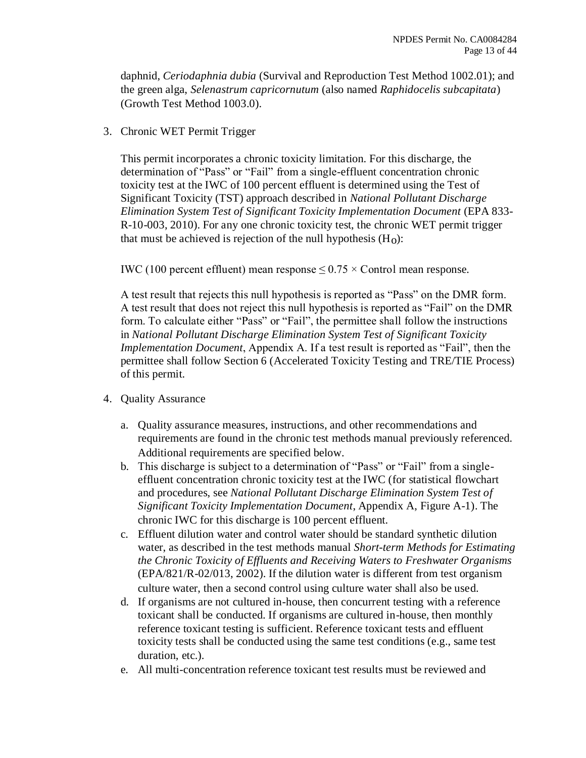daphnid, *Ceriodaphnia dubia* (Survival and Reproduction Test Method 1002.01); and the green alga, *Selenastrum capricornutum* (also named *Raphidocelis subcapitata*) (Growth Test Method 1003.0).

3. Chronic WET Permit Trigger

This permit incorporates a chronic toxicity limitation. For this discharge, the determination of "Pass" or "Fail" from a single-effluent concentration chronic toxicity test at the IWC of 100 percent effluent is determined using the Test of Significant Toxicity (TST) approach described in *National Pollutant Discharge Elimination System Test of Significant Toxicity Implementation Document* (EPA 833- R-10-003, 2010). For any one chronic toxicity test, the chronic WET permit trigger that must be achieved is rejection of the null hypothesis  $(H<sub>0</sub>)$ :

IWC (100 percent effluent) mean response  $\leq 0.75 \times$  Control mean response.

A test result that rejects this null hypothesis is reported as "Pass" on the DMR form. A test result that does not reject this null hypothesis is reported as "Fail" on the DMR form. To calculate either "Pass" or "Fail", the permittee shall follow the instructions in *National Pollutant Discharge Elimination System Test of Significant Toxicity Implementation Document*, Appendix A. If a test result is reported as "Fail", then the permittee shall follow Section 6 (Accelerated Toxicity Testing and TRE/TIE Process) of this permit.

- 4. Quality Assurance
	- a. Quality assurance measures, instructions, and other recommendations and requirements are found in the chronic test methods manual previously referenced. Additional requirements are specified below.
	- b. This discharge is subject to a determination of "Pass" or "Fail" from a singleeffluent concentration chronic toxicity test at the IWC (for statistical flowchart and procedures, see *National Pollutant Discharge Elimination System Test of Significant Toxicity Implementation Document*, Appendix A, Figure A-1). The chronic IWC for this discharge is 100 percent effluent.
	- c. Effluent dilution water and control water should be standard synthetic dilution water, as described in the test methods manual *Short-term Methods for Estimating the Chronic Toxicity of Effluents and Receiving Waters to Freshwater Organisms*  (EPA/821/R-02/013, 2002). If the dilution water is different from test organism culture water, then a second control using culture water shall also be used.
	- d. If organisms are not cultured in-house, then concurrent testing with a reference toxicant shall be conducted. If organisms are cultured in-house, then monthly reference toxicant testing is sufficient. Reference toxicant tests and effluent toxicity tests shall be conducted using the same test conditions (e.g., same test duration, etc.).
	- e. All multi-concentration reference toxicant test results must be reviewed and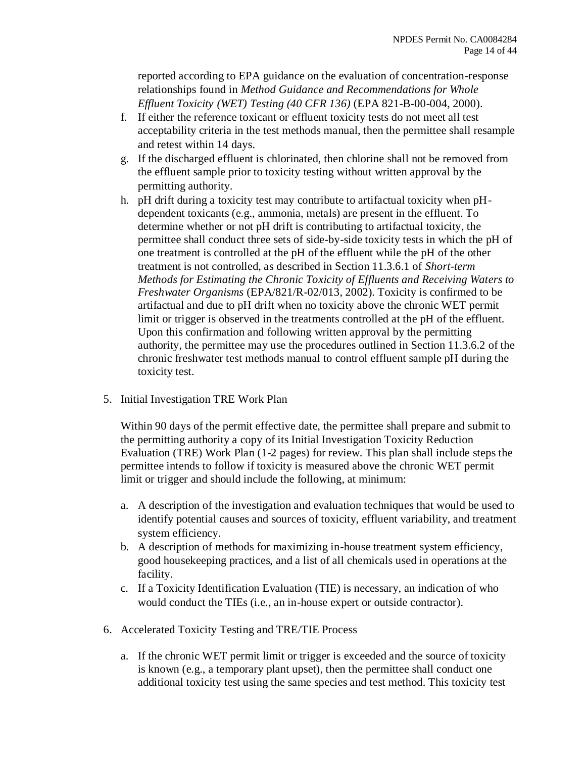reported according to EPA guidance on the evaluation of concentration-response relationships found in *Method Guidance and Recommendations for Whole Effluent Toxicity (WET) Testing (40 CFR 136)* (EPA 821-B-00-004, 2000).

- f. If either the reference toxicant or effluent toxicity tests do not meet all test acceptability criteria in the test methods manual, then the permittee shall resample and retest within 14 days.
- g. If the discharged effluent is chlorinated, then chlorine shall not be removed from the effluent sample prior to toxicity testing without written approval by the permitting authority.
- h. pH drift during a toxicity test may contribute to artifactual toxicity when pHdependent toxicants (e.g., ammonia, metals) are present in the effluent. To determine whether or not pH drift is contributing to artifactual toxicity, the permittee shall conduct three sets of side-by-side toxicity tests in which the pH of one treatment is controlled at the pH of the effluent while the pH of the other treatment is not controlled, as described in Section 11.3.6.1 of *Short-term Methods for Estimating the Chronic Toxicity of Effluents and Receiving Waters to Freshwater Organisms* (EPA/821/R-02/013, 2002). Toxicity is confirmed to be artifactual and due to pH drift when no toxicity above the chronic WET permit limit or trigger is observed in the treatments controlled at the pH of the effluent. Upon this confirmation and following written approval by the permitting authority, the permittee may use the procedures outlined in Section 11.3.6.2 of the chronic freshwater test methods manual to control effluent sample pH during the toxicity test.
- 5. Initial Investigation TRE Work Plan

Within 90 days of the permit effective date, the permittee shall prepare and submit to the permitting authority a copy of its Initial Investigation Toxicity Reduction Evaluation (TRE) Work Plan (1-2 pages) for review. This plan shall include steps the permittee intends to follow if toxicity is measured above the chronic WET permit limit or trigger and should include the following, at minimum:

- a. A description of the investigation and evaluation techniques that would be used to identify potential causes and sources of toxicity, effluent variability, and treatment system efficiency.
- b. A description of methods for maximizing in-house treatment system efficiency, good housekeeping practices, and a list of all chemicals used in operations at the facility.
- c. If a Toxicity Identification Evaluation (TIE) is necessary, an indication of who would conduct the TIEs (i.e., an in-house expert or outside contractor).
- 6. Accelerated Toxicity Testing and TRE/TIE Process
	- a. If the chronic WET permit limit or trigger is exceeded and the source of toxicity is known (e.g., a temporary plant upset), then the permittee shall conduct one additional toxicity test using the same species and test method. This toxicity test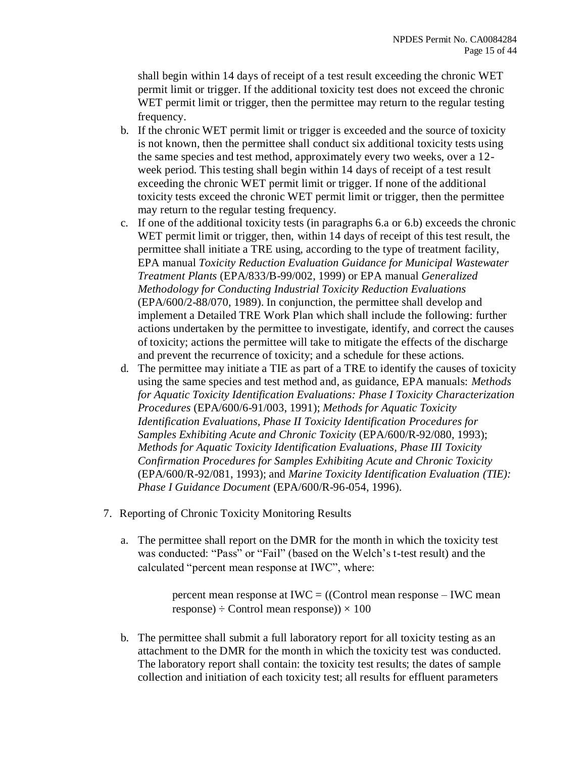shall begin within 14 days of receipt of a test result exceeding the chronic WET permit limit or trigger. If the additional toxicity test does not exceed the chronic WET permit limit or trigger, then the permittee may return to the regular testing frequency.

- b. If the chronic WET permit limit or trigger is exceeded and the source of toxicity is not known, then the permittee shall conduct six additional toxicity tests using the same species and test method, approximately every two weeks, over a 12 week period. This testing shall begin within 14 days of receipt of a test result exceeding the chronic WET permit limit or trigger. If none of the additional toxicity tests exceed the chronic WET permit limit or trigger, then the permittee may return to the regular testing frequency.
- c. If one of the additional toxicity tests (in paragraphs 6.a or 6.b) exceeds the chronic WET permit limit or trigger, then, within 14 days of receipt of this test result, the permittee shall initiate a TRE using, according to the type of treatment facility, EPA manual *Toxicity Reduction Evaluation Guidance for Municipal Wastewater Treatment Plants* (EPA/833/B-99/002, 1999) or EPA manual *Generalized Methodology for Conducting Industrial Toxicity Reduction Evaluations*  (EPA/600/2-88/070, 1989). In conjunction, the permittee shall develop and implement a Detailed TRE Work Plan which shall include the following: further actions undertaken by the permittee to investigate, identify, and correct the causes of toxicity; actions the permittee will take to mitigate the effects of the discharge and prevent the recurrence of toxicity; and a schedule for these actions.
- d. The permittee may initiate a TIE as part of a TRE to identify the causes of toxicity using the same species and test method and, as guidance, EPA manuals: *Methods for Aquatic Toxicity Identification Evaluations: Phase I Toxicity Characterization Procedures* (EPA/600/6-91/003, 1991); *Methods for Aquatic Toxicity Identification Evaluations, Phase II Toxicity Identification Procedures for Samples Exhibiting Acute and Chronic Toxicity* (EPA/600/R-92/080, 1993); *Methods for Aquatic Toxicity Identification Evaluations, Phase III Toxicity Confirmation Procedures for Samples Exhibiting Acute and Chronic Toxicity*  (EPA/600/R-92/081, 1993); and *Marine Toxicity Identification Evaluation (TIE): Phase I Guidance Document* (EPA/600/R-96-054, 1996).
- 7. Reporting of Chronic Toxicity Monitoring Results
	- a. The permittee shall report on the DMR for the month in which the toxicity test was conducted: "Pass" or "Fail" (based on the Welch's t-test result) and the calculated "percent mean response at IWC", where:

percent mean response at IWC = ((Control mean response – IWC mean response)  $\div$  Control mean response))  $\times$  100

b. The permittee shall submit a full laboratory report for all toxicity testing as an attachment to the DMR for the month in which the toxicity test was conducted. The laboratory report shall contain: the toxicity test results; the dates of sample collection and initiation of each toxicity test; all results for effluent parameters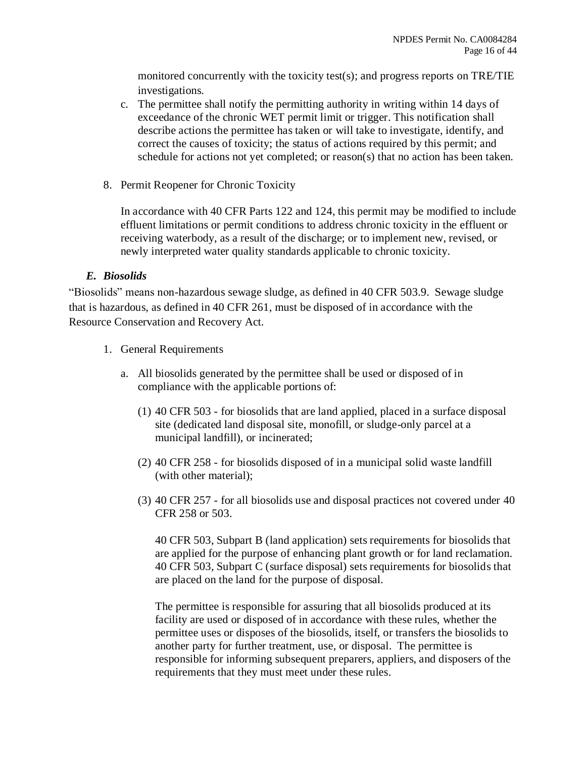monitored concurrently with the toxicity test(s); and progress reports on TRE/TIE investigations.

- c. The permittee shall notify the permitting authority in writing within 14 days of exceedance of the chronic WET permit limit or trigger. This notification shall describe actions the permittee has taken or will take to investigate, identify, and correct the causes of toxicity; the status of actions required by this permit; and schedule for actions not yet completed; or reason(s) that no action has been taken.
- 8. Permit Reopener for Chronic Toxicity

In accordance with 40 CFR Parts 122 and 124, this permit may be modified to include effluent limitations or permit conditions to address chronic toxicity in the effluent or receiving waterbody, as a result of the discharge; or to implement new, revised, or newly interpreted water quality standards applicable to chronic toxicity.

## *E. Biosolids*

"Biosolids" means non-hazardous sewage sludge, as defined in 40 CFR 503.9. Sewage sludge that is hazardous, as defined in 40 CFR 261, must be disposed of in accordance with the Resource Conservation and Recovery Act.

- 1. General Requirements
	- a. All biosolids generated by the permittee shall be used or disposed of in compliance with the applicable portions of:
		- (1) 40 CFR 503 for biosolids that are land applied, placed in a surface disposal site (dedicated land disposal site, monofill, or sludge-only parcel at a municipal landfill), or incinerated;
		- (2) 40 CFR 258 for biosolids disposed of in a municipal solid waste landfill (with other material);
		- (3) 40 CFR 257 for all biosolids use and disposal practices not covered under 40 CFR 258 or 503.

40 CFR 503, Subpart B (land application) sets requirements for biosolids that are applied for the purpose of enhancing plant growth or for land reclamation. 40 CFR 503, Subpart C (surface disposal) sets requirements for biosolids that are placed on the land for the purpose of disposal.

The permittee is responsible for assuring that all biosolids produced at its facility are used or disposed of in accordance with these rules, whether the permittee uses or disposes of the biosolids, itself, or transfers the biosolids to another party for further treatment, use, or disposal. The permittee is responsible for informing subsequent preparers, appliers, and disposers of the requirements that they must meet under these rules.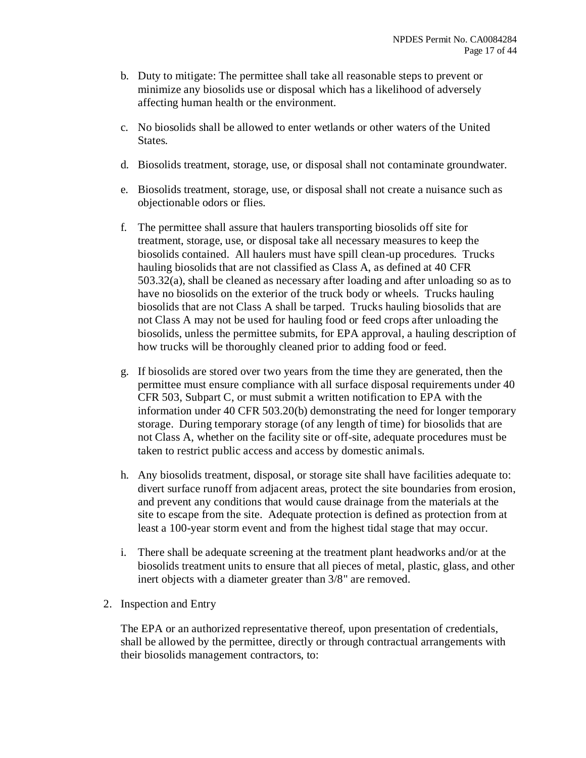- b. Duty to mitigate: The permittee shall take all reasonable steps to prevent or minimize any biosolids use or disposal which has a likelihood of adversely affecting human health or the environment.
- c. No biosolids shall be allowed to enter wetlands or other waters of the United States.
- d. Biosolids treatment, storage, use, or disposal shall not contaminate groundwater.
- e. Biosolids treatment, storage, use, or disposal shall not create a nuisance such as objectionable odors or flies.
- f. The permittee shall assure that haulers transporting biosolids off site for treatment, storage, use, or disposal take all necessary measures to keep the biosolids contained. All haulers must have spill clean-up procedures. Trucks hauling biosolids that are not classified as Class A, as defined at 40 CFR 503.32(a), shall be cleaned as necessary after loading and after unloading so as to have no biosolids on the exterior of the truck body or wheels. Trucks hauling biosolids that are not Class A shall be tarped. Trucks hauling biosolids that are not Class A may not be used for hauling food or feed crops after unloading the biosolids, unless the permittee submits, for EPA approval, a hauling description of how trucks will be thoroughly cleaned prior to adding food or feed.
- g. If biosolids are stored over two years from the time they are generated, then the permittee must ensure compliance with all surface disposal requirements under 40 CFR 503, Subpart C, or must submit a written notification to EPA with the information under 40 CFR 503.20(b) demonstrating the need for longer temporary storage. During temporary storage (of any length of time) for biosolids that are not Class A, whether on the facility site or off-site, adequate procedures must be taken to restrict public access and access by domestic animals.
- h. Any biosolids treatment, disposal, or storage site shall have facilities adequate to: divert surface runoff from adjacent areas, protect the site boundaries from erosion, and prevent any conditions that would cause drainage from the materials at the site to escape from the site. Adequate protection is defined as protection from at least a 100-year storm event and from the highest tidal stage that may occur.
- i. There shall be adequate screening at the treatment plant headworks and/or at the biosolids treatment units to ensure that all pieces of metal, plastic, glass, and other inert objects with a diameter greater than 3/8" are removed.
- 2. Inspection and Entry

The EPA or an authorized representative thereof, upon presentation of credentials, shall be allowed by the permittee, directly or through contractual arrangements with their biosolids management contractors, to: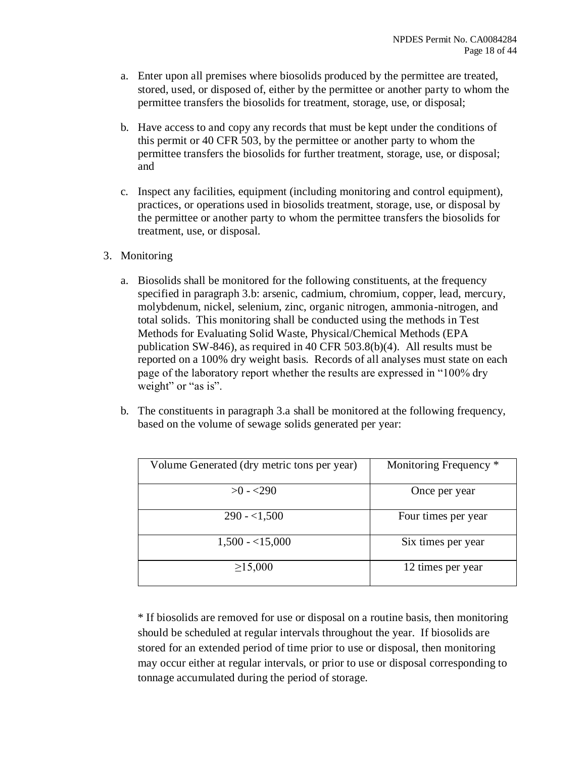- a. Enter upon all premises where biosolids produced by the permittee are treated, stored, used, or disposed of, either by the permittee or another party to whom the permittee transfers the biosolids for treatment, storage, use, or disposal;
- b. Have access to and copy any records that must be kept under the conditions of this permit or 40 CFR 503, by the permittee or another party to whom the permittee transfers the biosolids for further treatment, storage, use, or disposal; and
- c. Inspect any facilities, equipment (including monitoring and control equipment), practices, or operations used in biosolids treatment, storage, use, or disposal by the permittee or another party to whom the permittee transfers the biosolids for treatment, use, or disposal.
- 3. Monitoring
	- a. Biosolids shall be monitored for the following constituents, at the frequency specified in paragraph 3.b: arsenic, cadmium, chromium, copper, lead, mercury, molybdenum, nickel, selenium, zinc, organic nitrogen, ammonia-nitrogen, and total solids. This monitoring shall be conducted using the methods in Test Methods for Evaluating Solid Waste, Physical/Chemical Methods (EPA publication SW-846), as required in 40 CFR 503.8(b)(4). All results must be reported on a 100% dry weight basis. Records of all analyses must state on each page of the laboratory report whether the results are expressed in "100% dry weight" or "as is".
	- b. The constituents in paragraph 3.a shall be monitored at the following frequency, based on the volume of sewage solids generated per year:

| Volume Generated (dry metric tons per year) | Monitoring Frequency * |
|---------------------------------------------|------------------------|
| $>0$ - $<$ 290                              | Once per year          |
| $290 - 1,500$                               | Four times per year    |
| $1,500 - 15,000$                            | Six times per year     |
| $\geq$ 15,000                               | 12 times per year      |

\* If biosolids are removed for use or disposal on a routine basis, then monitoring should be scheduled at regular intervals throughout the year. If biosolids are stored for an extended period of time prior to use or disposal, then monitoring may occur either at regular intervals, or prior to use or disposal corresponding to tonnage accumulated during the period of storage.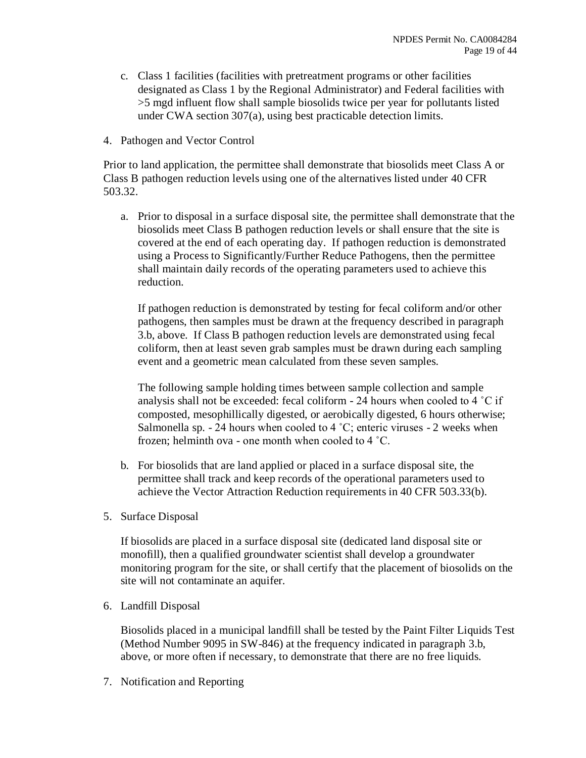- c. Class 1 facilities (facilities with pretreatment programs or other facilities designated as Class 1 by the Regional Administrator) and Federal facilities with >5 mgd influent flow shall sample biosolids twice per year for pollutants listed under CWA section 307(a), using best practicable detection limits.
- 4. Pathogen and Vector Control

Prior to land application, the permittee shall demonstrate that biosolids meet Class A or Class B pathogen reduction levels using one of the alternatives listed under 40 CFR 503.32.

a. Prior to disposal in a surface disposal site, the permittee shall demonstrate that the biosolids meet Class B pathogen reduction levels or shall ensure that the site is covered at the end of each operating day. If pathogen reduction is demonstrated using a Process to Significantly/Further Reduce Pathogens, then the permittee shall maintain daily records of the operating parameters used to achieve this reduction.

If pathogen reduction is demonstrated by testing for fecal coliform and/or other pathogens, then samples must be drawn at the frequency described in paragraph 3.b, above. If Class B pathogen reduction levels are demonstrated using fecal coliform, then at least seven grab samples must be drawn during each sampling event and a geometric mean calculated from these seven samples.

The following sample holding times between sample collection and sample analysis shall not be exceeded: fecal coliform  $-24$  hours when cooled to  $4^{\circ}$ C if composted, mesophillically digested, or aerobically digested, 6 hours otherwise; Salmonella sp.  $-24$  hours when cooled to  $4^{\circ}$ C; enteric viruses  $-2$  weeks when frozen; helminth ova - one month when cooled to 4 ˚C.

- b. For biosolids that are land applied or placed in a surface disposal site, the permittee shall track and keep records of the operational parameters used to achieve the Vector Attraction Reduction requirements in 40 CFR 503.33(b).
- 5. Surface Disposal

If biosolids are placed in a surface disposal site (dedicated land disposal site or monofill), then a qualified groundwater scientist shall develop a groundwater monitoring program for the site, or shall certify that the placement of biosolids on the site will not contaminate an aquifer.

6. Landfill Disposal

Biosolids placed in a municipal landfill shall be tested by the Paint Filter Liquids Test (Method Number 9095 in SW-846) at the frequency indicated in paragraph 3.b, above, or more often if necessary, to demonstrate that there are no free liquids.

7. Notification and Reporting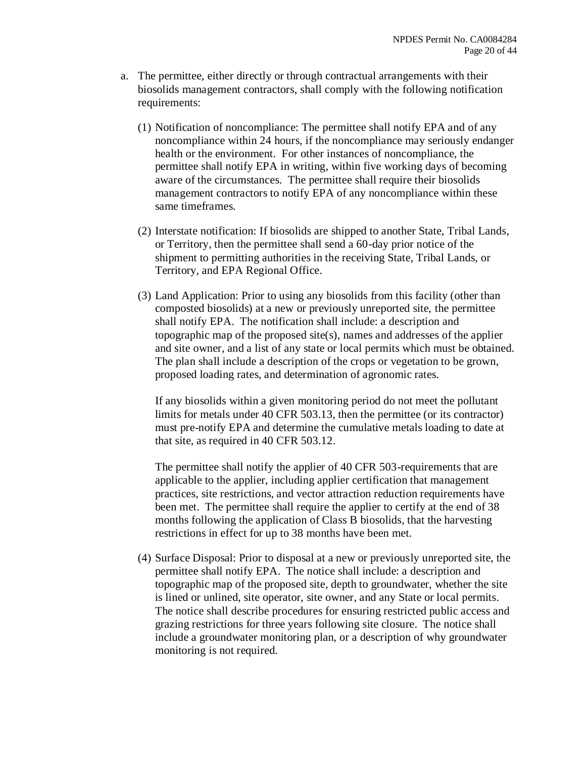- a. The permittee, either directly or through contractual arrangements with their biosolids management contractors, shall comply with the following notification requirements:
	- (1) Notification of noncompliance: The permittee shall notify EPA and of any noncompliance within 24 hours, if the noncompliance may seriously endanger health or the environment. For other instances of noncompliance, the permittee shall notify EPA in writing, within five working days of becoming aware of the circumstances. The permittee shall require their biosolids management contractors to notify EPA of any noncompliance within these same timeframes.
	- (2) Interstate notification: If biosolids are shipped to another State, Tribal Lands, or Territory, then the permittee shall send a 60-day prior notice of the shipment to permitting authorities in the receiving State, Tribal Lands, or Territory, and EPA Regional Office.
	- (3) Land Application: Prior to using any biosolids from this facility (other than composted biosolids) at a new or previously unreported site, the permittee shall notify EPA. The notification shall include: a description and topographic map of the proposed site(s), names and addresses of the applier and site owner, and a list of any state or local permits which must be obtained. The plan shall include a description of the crops or vegetation to be grown, proposed loading rates, and determination of agronomic rates.

If any biosolids within a given monitoring period do not meet the pollutant limits for metals under 40 CFR 503.13, then the permittee (or its contractor) must pre-notify EPA and determine the cumulative metals loading to date at that site, as required in 40 CFR 503.12.

The permittee shall notify the applier of 40 CFR 503-requirements that are applicable to the applier, including applier certification that management practices, site restrictions, and vector attraction reduction requirements have been met. The permittee shall require the applier to certify at the end of 38 months following the application of Class B biosolids, that the harvesting restrictions in effect for up to 38 months have been met.

(4) Surface Disposal: Prior to disposal at a new or previously unreported site, the permittee shall notify EPA. The notice shall include: a description and topographic map of the proposed site, depth to groundwater, whether the site is lined or unlined, site operator, site owner, and any State or local permits. The notice shall describe procedures for ensuring restricted public access and grazing restrictions for three years following site closure. The notice shall include a groundwater monitoring plan, or a description of why groundwater monitoring is not required.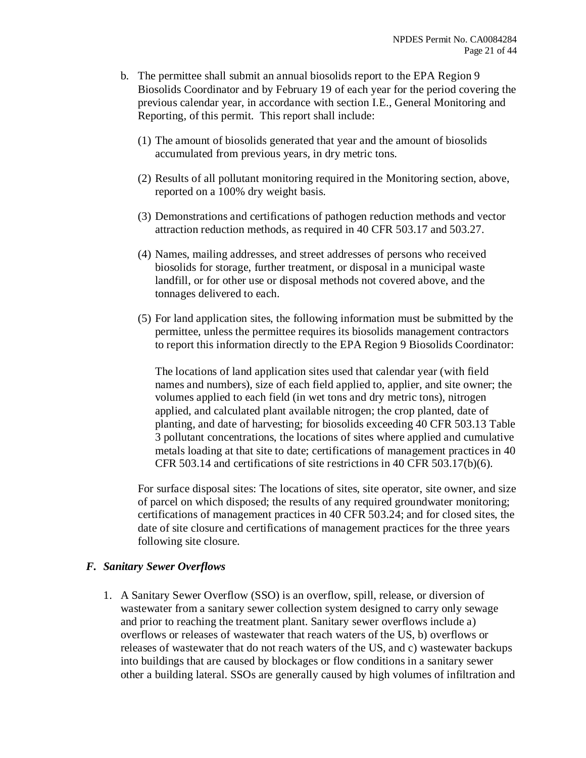- b. The permittee shall submit an annual biosolids report to the EPA Region 9 Biosolids Coordinator and by February 19 of each year for the period covering the previous calendar year, in accordance with section I.E., General Monitoring and Reporting, of this permit. This report shall include:
	- (1) The amount of biosolids generated that year and the amount of biosolids accumulated from previous years, in dry metric tons.
	- (2) Results of all pollutant monitoring required in the Monitoring section, above, reported on a 100% dry weight basis.
	- (3) Demonstrations and certifications of pathogen reduction methods and vector attraction reduction methods, as required in 40 CFR 503.17 and 503.27.
	- (4) Names, mailing addresses, and street addresses of persons who received biosolids for storage, further treatment, or disposal in a municipal waste landfill, or for other use or disposal methods not covered above, and the tonnages delivered to each.
	- (5) For land application sites, the following information must be submitted by the permittee, unless the permittee requires its biosolids management contractors to report this information directly to the EPA Region 9 Biosolids Coordinator:

The locations of land application sites used that calendar year (with field names and numbers), size of each field applied to, applier, and site owner; the volumes applied to each field (in wet tons and dry metric tons), nitrogen applied, and calculated plant available nitrogen; the crop planted, date of planting, and date of harvesting; for biosolids exceeding 40 CFR 503.13 Table 3 pollutant concentrations, the locations of sites where applied and cumulative metals loading at that site to date; certifications of management practices in 40 CFR 503.14 and certifications of site restrictions in 40 CFR 503.17(b)(6).

For surface disposal sites: The locations of sites, site operator, site owner, and size of parcel on which disposed; the results of any required groundwater monitoring; certifications of management practices in 40 CFR 503.24; and for closed sites, the date of site closure and certifications of management practices for the three years following site closure.

#### *F. Sanitary Sewer Overflows*

1. A Sanitary Sewer Overflow (SSO) is an overflow, spill, release, or diversion of wastewater from a sanitary sewer collection system designed to carry only sewage and prior to reaching the treatment plant. Sanitary sewer overflows include a) overflows or releases of wastewater that reach waters of the US, b) overflows or releases of wastewater that do not reach waters of the US, and c) wastewater backups into buildings that are caused by blockages or flow conditions in a sanitary sewer other a building lateral. SSOs are generally caused by high volumes of infiltration and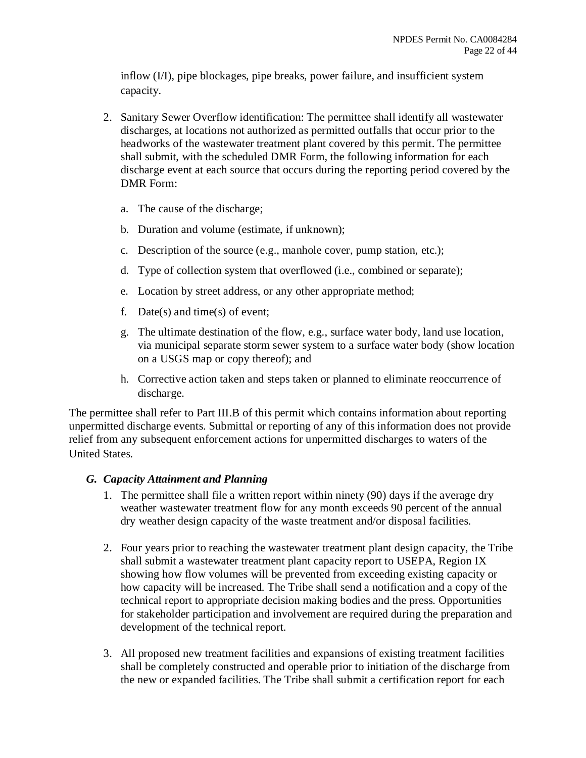inflow (I/I), pipe blockages, pipe breaks, power failure, and insufficient system capacity.

- 2. Sanitary Sewer Overflow identification: The permittee shall identify all wastewater discharges, at locations not authorized as permitted outfalls that occur prior to the headworks of the wastewater treatment plant covered by this permit. The permittee shall submit, with the scheduled DMR Form, the following information for each discharge event at each source that occurs during the reporting period covered by the DMR Form:
	- a. The cause of the discharge;
	- b. Duration and volume (estimate, if unknown);
	- c. Description of the source (e.g., manhole cover, pump station, etc.);
	- d. Type of collection system that overflowed (i.e., combined or separate);
	- e. Location by street address, or any other appropriate method;
	- f. Date(s) and time(s) of event;
	- g. The ultimate destination of the flow, e.g., surface water body, land use location, via municipal separate storm sewer system to a surface water body (show location on a USGS map or copy thereof); and
	- h. Corrective action taken and steps taken or planned to eliminate reoccurrence of discharge.

The permittee shall refer to Part III.B of this permit which contains information about reporting unpermitted discharge events. Submittal or reporting of any of this information does not provide relief from any subsequent enforcement actions for unpermitted discharges to waters of the United States.

#### *G. Capacity Attainment and Planning*

- 1. The permittee shall file a written report within ninety (90) days if the average dry weather wastewater treatment flow for any month exceeds 90 percent of the annual dry weather design capacity of the waste treatment and/or disposal facilities.
- 2. Four years prior to reaching the wastewater treatment plant design capacity, the Tribe shall submit a wastewater treatment plant capacity report to USEPA, Region IX showing how flow volumes will be prevented from exceeding existing capacity or how capacity will be increased. The Tribe shall send a notification and a copy of the technical report to appropriate decision making bodies and the press. Opportunities for stakeholder participation and involvement are required during the preparation and development of the technical report.
- 3. All proposed new treatment facilities and expansions of existing treatment facilities shall be completely constructed and operable prior to initiation of the discharge from the new or expanded facilities. The Tribe shall submit a certification report for each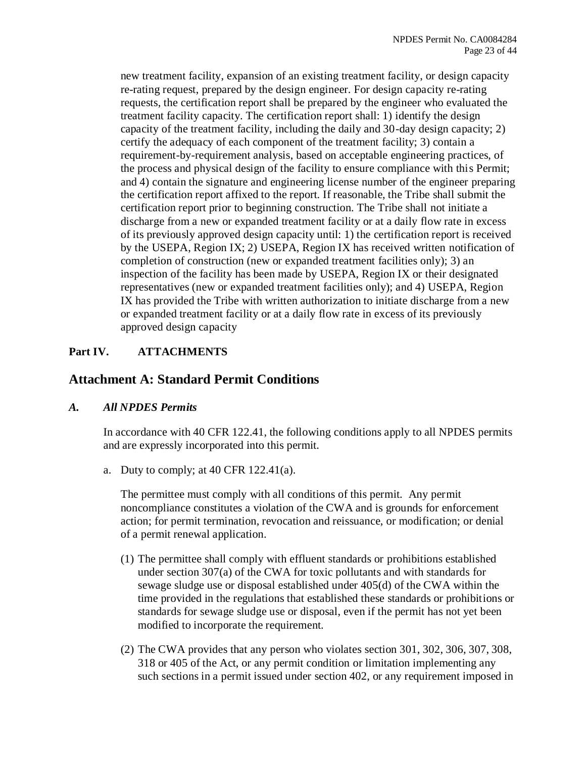new treatment facility, expansion of an existing treatment facility, or design capacity re-rating request, prepared by the design engineer. For design capacity re-rating requests, the certification report shall be prepared by the engineer who evaluated the treatment facility capacity. The certification report shall: 1) identify the design capacity of the treatment facility, including the daily and 30-day design capacity; 2) certify the adequacy of each component of the treatment facility; 3) contain a requirement-by-requirement analysis, based on acceptable engineering practices, of the process and physical design of the facility to ensure compliance with this Permit; and 4) contain the signature and engineering license number of the engineer preparing the certification report affixed to the report. If reasonable, the Tribe shall submit the certification report prior to beginning construction. The Tribe shall not initiate a discharge from a new or expanded treatment facility or at a daily flow rate in excess of its previously approved design capacity until: 1) the certification report is received by the USEPA, Region IX; 2) USEPA, Region IX has received written notification of completion of construction (new or expanded treatment facilities only); 3) an inspection of the facility has been made by USEPA, Region IX or their designated representatives (new or expanded treatment facilities only); and 4) USEPA, Region IX has provided the Tribe with written authorization to initiate discharge from a new or expanded treatment facility or at a daily flow rate in excess of its previously approved design capacity

## **Part IV. ATTACHMENTS**

## **Attachment A: Standard Permit Conditions**

## *A. All NPDES Permits*

In accordance with 40 CFR 122.41, the following conditions apply to all NPDES permits and are expressly incorporated into this permit.

a. Duty to comply; at  $40$  CFR  $122.41(a)$ .

The permittee must comply with all conditions of this permit. Any permit noncompliance constitutes a violation of the CWA and is grounds for enforcement action; for permit termination, revocation and reissuance, or modification; or denial of a permit renewal application.

- (1) The permittee shall comply with effluent standards or prohibitions established under section 307(a) of the CWA for toxic pollutants and with standards for sewage sludge use or disposal established under 405(d) of the CWA within the time provided in the regulations that established these standards or prohibitions or standards for sewage sludge use or disposal, even if the permit has not yet been modified to incorporate the requirement.
- (2) The CWA provides that any person who violates section 301, 302, 306, 307, 308, 318 or 405 of the Act, or any permit condition or limitation implementing any such sections in a permit issued under section 402, or any requirement imposed in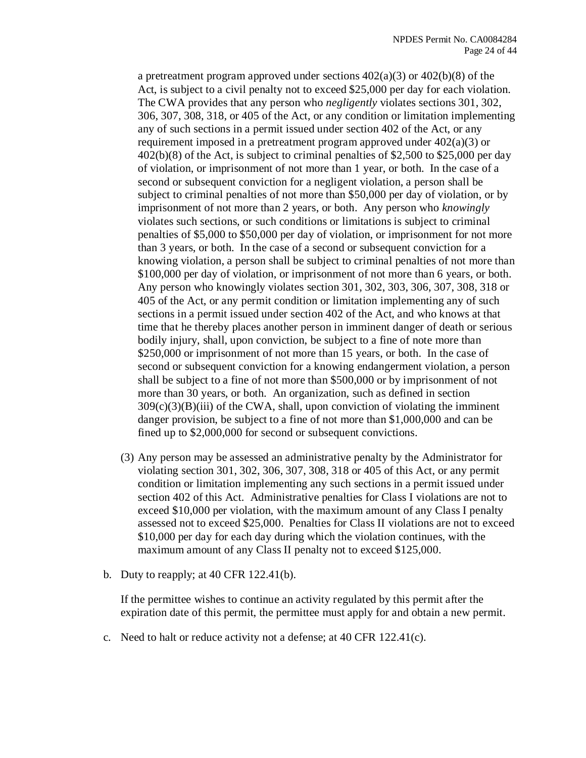a pretreatment program approved under sections  $402(a)(3)$  or  $402(b)(8)$  of the Act, is subject to a civil penalty not to exceed \$25,000 per day for each violation. The CWA provides that any person who *negligently* violates sections 301, 302, 306, 307, 308, 318, or 405 of the Act, or any condition or limitation implementing any of such sections in a permit issued under section 402 of the Act, or any requirement imposed in a pretreatment program approved under 402(a)(3) or 402(b)(8) of the Act, is subject to criminal penalties of \$2,500 to \$25,000 per day of violation, or imprisonment of not more than 1 year, or both. In the case of a second or subsequent conviction for a negligent violation, a person shall be subject to criminal penalties of not more than \$50,000 per day of violation, or by imprisonment of not more than 2 years, or both. Any person who *knowingly* violates such sections, or such conditions or limitations is subject to criminal penalties of \$5,000 to \$50,000 per day of violation, or imprisonment for not more than 3 years, or both. In the case of a second or subsequent conviction for a knowing violation, a person shall be subject to criminal penalties of not more than \$100,000 per day of violation, or imprisonment of not more than 6 years, or both. Any person who knowingly violates section 301, 302, 303, 306, 307, 308, 318 or 405 of the Act, or any permit condition or limitation implementing any of such sections in a permit issued under section 402 of the Act, and who knows at that time that he thereby places another person in imminent danger of death or serious bodily injury, shall, upon conviction, be subject to a fine of note more than \$250,000 or imprisonment of not more than 15 years, or both. In the case of second or subsequent conviction for a knowing endangerment violation, a person shall be subject to a fine of not more than \$500,000 or by imprisonment of not more than 30 years, or both. An organization, such as defined in section  $309(c)(3)(B)(iii)$  of the CWA, shall, upon conviction of violating the imminent danger provision, be subject to a fine of not more than \$1,000,000 and can be fined up to \$2,000,000 for second or subsequent convictions.

- (3) Any person may be assessed an administrative penalty by the Administrator for violating section 301, 302, 306, 307, 308, 318 or 405 of this Act, or any permit condition or limitation implementing any such sections in a permit issued under section 402 of this Act. Administrative penalties for Class I violations are not to exceed \$10,000 per violation, with the maximum amount of any Class I penalty assessed not to exceed \$25,000. Penalties for Class II violations are not to exceed \$10,000 per day for each day during which the violation continues, with the maximum amount of any Class II penalty not to exceed \$125,000.
- b. Duty to reapply; at  $40$  CFR  $122.41(b)$ .

If the permittee wishes to continue an activity regulated by this permit after the expiration date of this permit, the permittee must apply for and obtain a new permit.

c. Need to halt or reduce activity not a defense; at 40 CFR 122.41(c).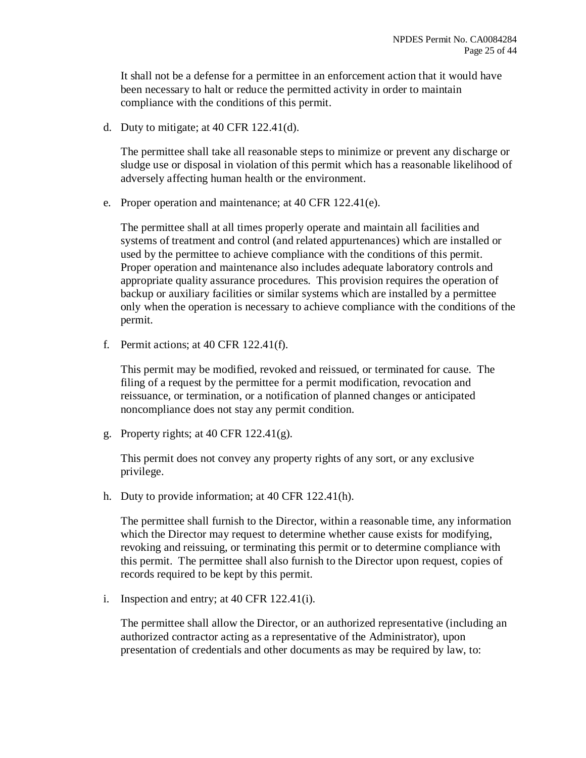It shall not be a defense for a permittee in an enforcement action that it would have been necessary to halt or reduce the permitted activity in order to maintain compliance with the conditions of this permit.

d. Duty to mitigate; at 40 CFR 122.41(d).

The permittee shall take all reasonable steps to minimize or prevent any discharge or sludge use or disposal in violation of this permit which has a reasonable likelihood of adversely affecting human health or the environment.

e. Proper operation and maintenance; at 40 CFR 122.41(e).

The permittee shall at all times properly operate and maintain all facilities and systems of treatment and control (and related appurtenances) which are installed or used by the permittee to achieve compliance with the conditions of this permit. Proper operation and maintenance also includes adequate laboratory controls and appropriate quality assurance procedures. This provision requires the operation of backup or auxiliary facilities or similar systems which are installed by a permittee only when the operation is necessary to achieve compliance with the conditions of the permit.

f. Permit actions; at 40 CFR 122.41(f).

This permit may be modified, revoked and reissued, or terminated for cause. The filing of a request by the permittee for a permit modification, revocation and reissuance, or termination, or a notification of planned changes or anticipated noncompliance does not stay any permit condition.

g. Property rights; at 40 CFR  $122.41(g)$ .

This permit does not convey any property rights of any sort, or any exclusive privilege.

h. Duty to provide information; at 40 CFR 122.41(h).

The permittee shall furnish to the Director, within a reasonable time, any information which the Director may request to determine whether cause exists for modifying, revoking and reissuing, or terminating this permit or to determine compliance with this permit. The permittee shall also furnish to the Director upon request, copies of records required to be kept by this permit.

i. Inspection and entry; at 40 CFR 122.41(i).

The permittee shall allow the Director, or an authorized representative (including an authorized contractor acting as a representative of the Administrator), upon presentation of credentials and other documents as may be required by law, to: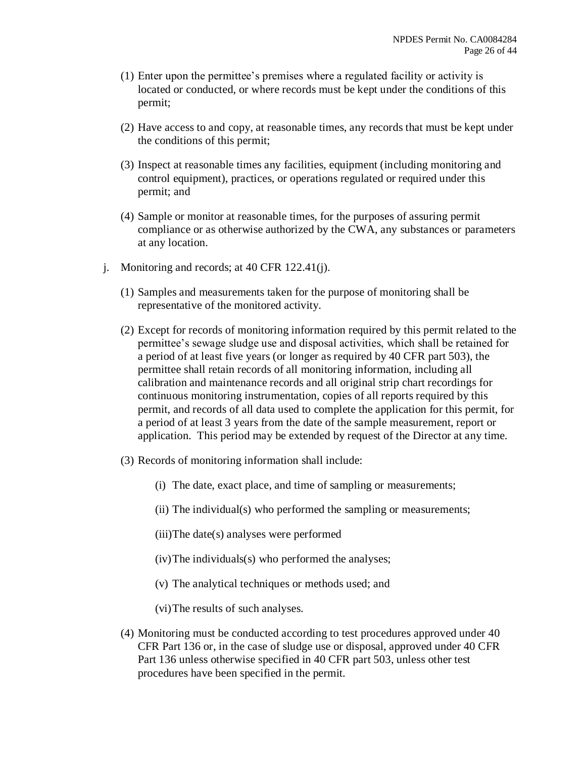- (1) Enter upon the permittee's premises where a regulated facility or activity is located or conducted, or where records must be kept under the conditions of this permit;
- (2) Have access to and copy, at reasonable times, any records that must be kept under the conditions of this permit;
- (3) Inspect at reasonable times any facilities, equipment (including monitoring and control equipment), practices, or operations regulated or required under this permit; and
- (4) Sample or monitor at reasonable times, for the purposes of assuring permit compliance or as otherwise authorized by the CWA, any substances or parameters at any location.
- j. Monitoring and records; at 40 CFR 122.41(j).
	- (1) Samples and measurements taken for the purpose of monitoring shall be representative of the monitored activity.
	- (2) Except for records of monitoring information required by this permit related to the permittee's sewage sludge use and disposal activities, which shall be retained for a period of at least five years (or longer as required by 40 CFR part 503), the permittee shall retain records of all monitoring information, including all calibration and maintenance records and all original strip chart recordings for continuous monitoring instrumentation, copies of all reports required by this permit, and records of all data used to complete the application for this permit, for a period of at least 3 years from the date of the sample measurement, report or application. This period may be extended by request of the Director at any time.
	- (3) Records of monitoring information shall include:
		- (i) The date, exact place, and time of sampling or measurements;
		- (ii) The individual(s) who performed the sampling or measurements;
		- (iii)The date(s) analyses were performed
		- (iv)The individuals(s) who performed the analyses;
		- (v) The analytical techniques or methods used; and
		- (vi)The results of such analyses.
	- (4) Monitoring must be conducted according to test procedures approved under 40 CFR Part 136 or, in the case of sludge use or disposal, approved under 40 CFR Part 136 unless otherwise specified in 40 CFR part 503, unless other test procedures have been specified in the permit.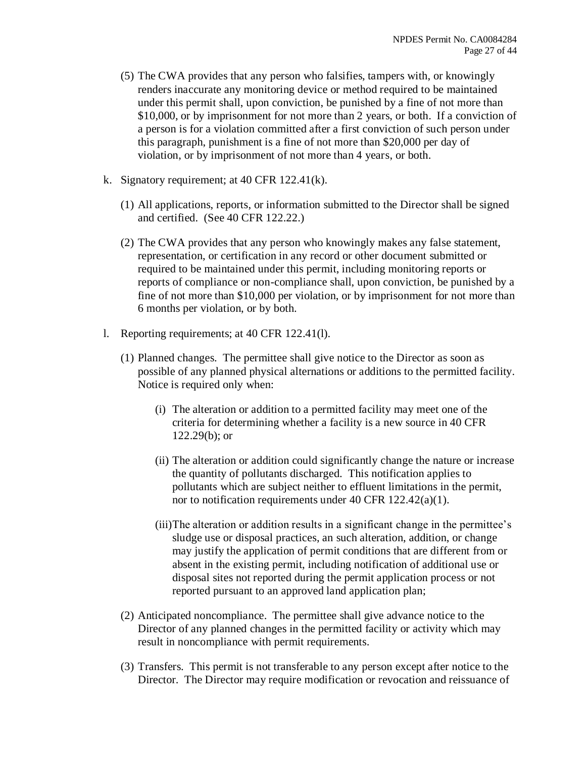- (5) The CWA provides that any person who falsifies, tampers with, or knowingly renders inaccurate any monitoring device or method required to be maintained under this permit shall, upon conviction, be punished by a fine of not more than \$10,000, or by imprisonment for not more than 2 years, or both. If a conviction of a person is for a violation committed after a first conviction of such person under this paragraph, punishment is a fine of not more than \$20,000 per day of violation, or by imprisonment of not more than 4 years, or both.
- k. Signatory requirement; at 40 CFR 122.41(k).
	- (1) All applications, reports, or information submitted to the Director shall be signed and certified. (See 40 CFR 122.22.)
	- (2) The CWA provides that any person who knowingly makes any false statement, representation, or certification in any record or other document submitted or required to be maintained under this permit, including monitoring reports or reports of compliance or non-compliance shall, upon conviction, be punished by a fine of not more than \$10,000 per violation, or by imprisonment for not more than 6 months per violation, or by both.
- l. Reporting requirements; at 40 CFR 122.41(l).
	- (1) Planned changes. The permittee shall give notice to the Director as soon as possible of any planned physical alternations or additions to the permitted facility. Notice is required only when:
		- (i) The alteration or addition to a permitted facility may meet one of the criteria for determining whether a facility is a new source in 40 CFR 122.29(b); or
		- (ii) The alteration or addition could significantly change the nature or increase the quantity of pollutants discharged. This notification applies to pollutants which are subject neither to effluent limitations in the permit, nor to notification requirements under 40 CFR 122.42(a)(1).
		- (iii)The alteration or addition results in a significant change in the permittee's sludge use or disposal practices, an such alteration, addition, or change may justify the application of permit conditions that are different from or absent in the existing permit, including notification of additional use or disposal sites not reported during the permit application process or not reported pursuant to an approved land application plan;
	- (2) Anticipated noncompliance. The permittee shall give advance notice to the Director of any planned changes in the permitted facility or activity which may result in noncompliance with permit requirements.
	- (3) Transfers. This permit is not transferable to any person except after notice to the Director. The Director may require modification or revocation and reissuance of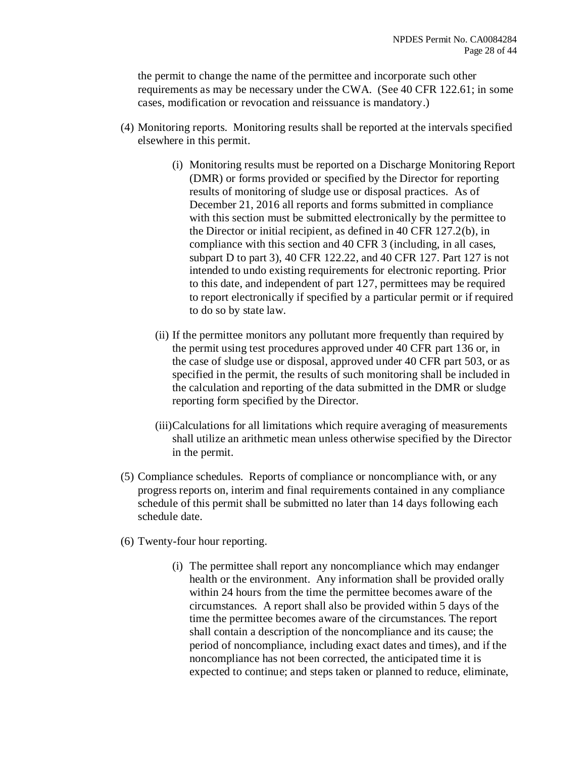the permit to change the name of the permittee and incorporate such other requirements as may be necessary under the CWA. (See 40 CFR 122.61; in some cases, modification or revocation and reissuance is mandatory.)

- (4) Monitoring reports. Monitoring results shall be reported at the intervals specified elsewhere in this permit.
	- (i) Monitoring results must be reported on a Discharge Monitoring Report (DMR) or forms provided or specified by the Director for reporting results of monitoring of sludge use or disposal practices. As of December 21, 2016 all reports and forms submitted in compliance with this section must be submitted electronically by the permittee to the Director or initial recipient, as defined in 40 CFR 127.2(b), in compliance with this section and 40 CFR 3 (including, in all cases, subpart D to part 3), 40 CFR 122.22, and 40 CFR 127. Part 127 is not intended to undo existing requirements for electronic reporting. Prior to this date, and independent of part 127, permittees may be required to report electronically if specified by a particular permit or if required to do so by state law.
	- (ii) If the permittee monitors any pollutant more frequently than required by the permit using test procedures approved under 40 CFR part 136 or, in the case of sludge use or disposal, approved under 40 CFR part 503, or as specified in the permit, the results of such monitoring shall be included in the calculation and reporting of the data submitted in the DMR or sludge reporting form specified by the Director.
	- (iii)Calculations for all limitations which require averaging of measurements shall utilize an arithmetic mean unless otherwise specified by the Director in the permit.
- (5) Compliance schedules. Reports of compliance or noncompliance with, or any progress reports on, interim and final requirements contained in any compliance schedule of this permit shall be submitted no later than 14 days following each schedule date.
- (6) Twenty-four hour reporting.
	- (i) The permittee shall report any noncompliance which may endanger health or the environment. Any information shall be provided orally within 24 hours from the time the permittee becomes aware of the circumstances. A report shall also be provided within 5 days of the time the permittee becomes aware of the circumstances. The report shall contain a description of the noncompliance and its cause; the period of noncompliance, including exact dates and times), and if the noncompliance has not been corrected, the anticipated time it is expected to continue; and steps taken or planned to reduce, eliminate,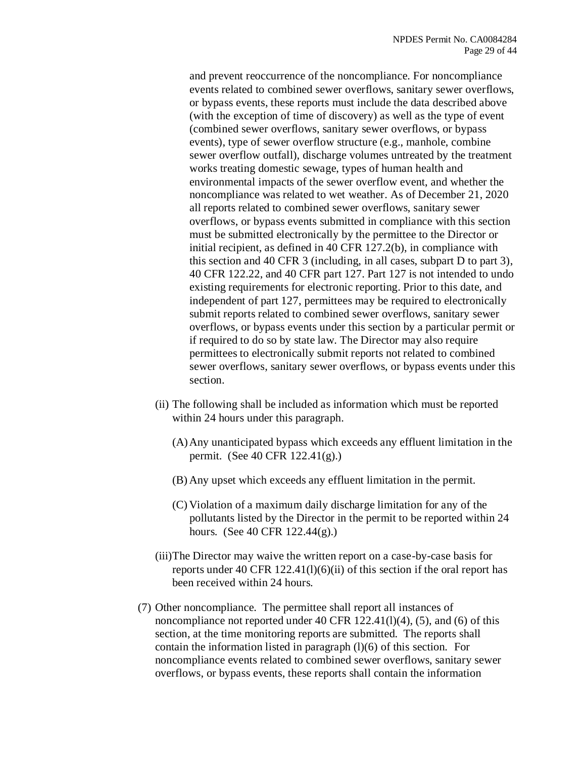and prevent reoccurrence of the noncompliance. For noncompliance events related to combined sewer overflows, sanitary sewer overflows, or bypass events, these reports must include the data described above (with the exception of time of discovery) as well as the type of event (combined sewer overflows, sanitary sewer overflows, or bypass events), type of sewer overflow structure (e.g., manhole, combine sewer overflow outfall), discharge volumes untreated by the treatment works treating domestic sewage, types of human health and environmental impacts of the sewer overflow event, and whether the noncompliance was related to wet weather. As of December 21, 2020 all reports related to combined sewer overflows, sanitary sewer overflows, or bypass events submitted in compliance with this section must be submitted electronically by the permittee to the Director or initial recipient, as defined in 40 CFR 127.2(b), in compliance with this section and 40 CFR 3 (including, in all cases, subpart D to part 3), 40 CFR 122.22, and 40 CFR part 127. Part 127 is not intended to undo existing requirements for electronic reporting. Prior to this date, and independent of part 127, permittees may be required to electronically submit reports related to combined sewer overflows, sanitary sewer overflows, or bypass events under this section by a particular permit or if required to do so by state law. The Director may also require permittees to electronically submit reports not related to combined sewer overflows, sanitary sewer overflows, or bypass events under this section.

- (ii) The following shall be included as information which must be reported within 24 hours under this paragraph.
	- (A)Any unanticipated bypass which exceeds any effluent limitation in the permit. (See 40 CFR 122.41(g).)
	- (B) Any upset which exceeds any effluent limitation in the permit.
	- (C) Violation of a maximum daily discharge limitation for any of the pollutants listed by the Director in the permit to be reported within 24 hours. (See 40 CFR 122.44(g).)
- (iii)The Director may waive the written report on a case-by-case basis for reports under 40 CFR  $122.41(1)(6)(ii)$  of this section if the oral report has been received within 24 hours.
- (7) Other noncompliance. The permittee shall report all instances of noncompliance not reported under 40 CFR 122.41(l)(4), (5), and (6) of this section, at the time monitoring reports are submitted. The reports shall contain the information listed in paragraph (l)(6) of this section. For noncompliance events related to combined sewer overflows, sanitary sewer overflows, or bypass events, these reports shall contain the information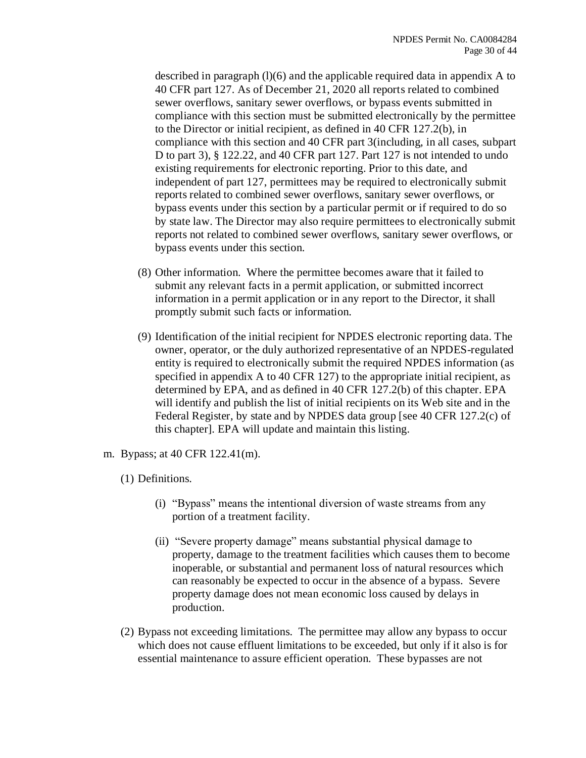described in paragraph (l)(6) and the applicable required data in appendix A to 40 CFR part 127. As of December 21, 2020 all reports related to combined sewer overflows, sanitary sewer overflows, or bypass events submitted in compliance with this section must be submitted electronically by the permittee to the Director or initial recipient, as defined in 40 CFR 127.2(b), in compliance with this section and 40 CFR part 3(including, in all cases, subpart D to part 3), § 122.22, and 40 CFR part 127. Part 127 is not intended to undo existing requirements for electronic reporting. Prior to this date, and independent of part 127, permittees may be required to electronically submit reports related to combined sewer overflows, sanitary sewer overflows, or bypass events under this section by a particular permit or if required to do so by state law. The Director may also require permittees to electronically submit reports not related to combined sewer overflows, sanitary sewer overflows, or bypass events under this section.

- (8) Other information. Where the permittee becomes aware that it failed to submit any relevant facts in a permit application, or submitted incorrect information in a permit application or in any report to the Director, it shall promptly submit such facts or information.
- (9) Identification of the initial recipient for NPDES electronic reporting data. The owner, operator, or the duly authorized representative of an NPDES-regulated entity is required to electronically submit the required NPDES information (as specified in appendix A to 40 CFR 127) to the appropriate initial recipient, as determined by EPA, and as defined in 40 CFR 127.2(b) of this chapter. EPA will identify and publish the list of initial recipients on its Web site and in the Federal Register, by state and by NPDES data group [see 40 CFR 127.2(c) of this chapter]. EPA will update and maintain this listing.
- m. Bypass; at 40 CFR 122.41(m).
	- (1) Definitions.
		- (i) "Bypass" means the intentional diversion of waste streams from any portion of a treatment facility.
		- (ii) "Severe property damage" means substantial physical damage to property, damage to the treatment facilities which causes them to become inoperable, or substantial and permanent loss of natural resources which can reasonably be expected to occur in the absence of a bypass. Severe property damage does not mean economic loss caused by delays in production.
	- (2) Bypass not exceeding limitations. The permittee may allow any bypass to occur which does not cause effluent limitations to be exceeded, but only if it also is for essential maintenance to assure efficient operation. These bypasses are not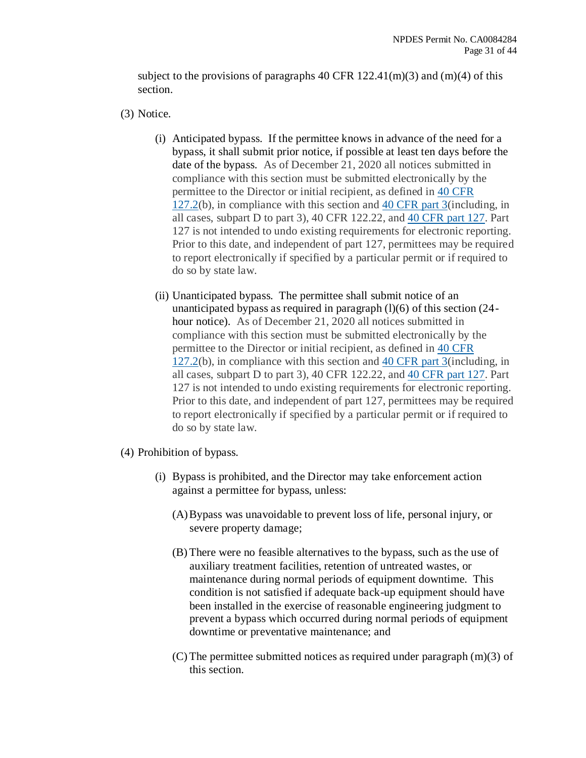subject to the provisions of paragraphs 40 CFR  $122.41(m)(3)$  and  $(m)(4)$  of this section.

(3) Notice.

- (i) Anticipated bypass. If the permittee knows in advance of the need for a bypass, it shall submit prior notice, if possible at least ten days before the date of the bypass. As of December 21, 2020 all notices submitted in compliance with this section must be submitted electronically by the permittee to the Director or initial recipient, as defined in [40 CFR](https://www.federalregister.gov/select-citation/2015/10/22/40-CFR-127.2)  [127.2\(](https://www.federalregister.gov/select-citation/2015/10/22/40-CFR-127.2)b), in compliance with this section and [40 CFR part 3\(](https://www.federalregister.gov/select-citation/2015/10/22/40-CFR-3)including, in all cases, subpart D to part 3), 40 CFR 122.22, and [40 CFR part 127.](https://www.federalregister.gov/select-citation/2015/10/22/40-CFR-127) Part 127 is not intended to undo existing requirements for electronic reporting. Prior to this date, and independent of part 127, permittees may be required to report electronically if specified by a particular permit or if required to do so by state law.
- (ii) Unanticipated bypass. The permittee shall submit notice of an unanticipated bypass as required in paragraph  $(l)(6)$  of this section  $(24$ hour notice). As of December 21, 2020 all notices submitted in compliance with this section must be submitted electronically by the permittee to the Director or initial recipient, as defined in [40 CFR](https://www.federalregister.gov/select-citation/2015/10/22/40-CFR-127.2)  [127.2\(](https://www.federalregister.gov/select-citation/2015/10/22/40-CFR-127.2)b), in compliance with this section and [40 CFR part 3\(](https://www.federalregister.gov/select-citation/2015/10/22/40-CFR-3)including, in all cases, subpart D to part 3), 40 CFR 122.22, and [40 CFR part 127.](https://www.federalregister.gov/select-citation/2015/10/22/40-CFR-127) Part 127 is not intended to undo existing requirements for electronic reporting. Prior to this date, and independent of part 127, permittees may be required to report electronically if specified by a particular permit or if required to do so by state law.
- (4) Prohibition of bypass.
	- (i) Bypass is prohibited, and the Director may take enforcement action against a permittee for bypass, unless:
		- (A)Bypass was unavoidable to prevent loss of life, personal injury, or severe property damage;
		- (B) There were no feasible alternatives to the bypass, such as the use of auxiliary treatment facilities, retention of untreated wastes, or maintenance during normal periods of equipment downtime. This condition is not satisfied if adequate back-up equipment should have been installed in the exercise of reasonable engineering judgment to prevent a bypass which occurred during normal periods of equipment downtime or preventative maintenance; and
		- (C) The permittee submitted notices as required under paragraph (m)(3) of this section.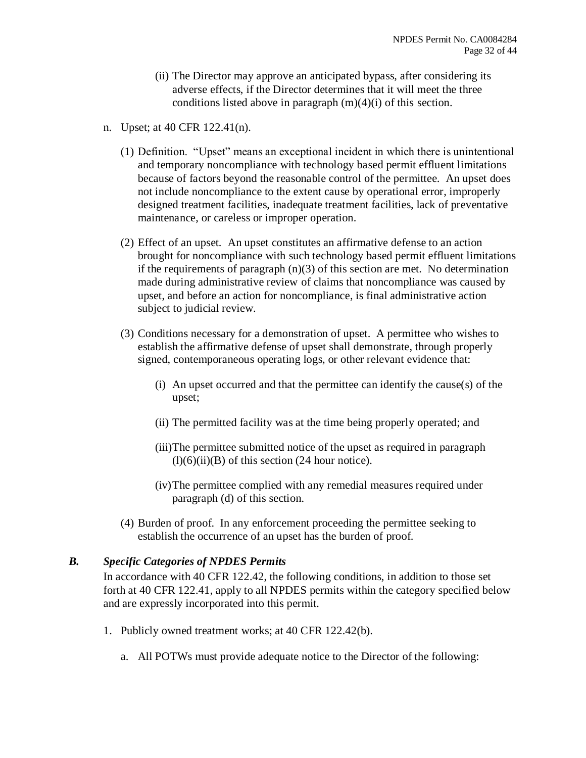- (ii) The Director may approve an anticipated bypass, after considering its adverse effects, if the Director determines that it will meet the three conditions listed above in paragraph (m)(4)(i) of this section.
- n. Upset; at 40 CFR 122.41(n).
	- (1) Definition. "Upset" means an exceptional incident in which there is unintentional and temporary noncompliance with technology based permit effluent limitations because of factors beyond the reasonable control of the permittee. An upset does not include noncompliance to the extent cause by operational error, improperly designed treatment facilities, inadequate treatment facilities, lack of preventative maintenance, or careless or improper operation.
	- (2) Effect of an upset. An upset constitutes an affirmative defense to an action brought for noncompliance with such technology based permit effluent limitations if the requirements of paragraph  $(n)(3)$  of this section are met. No determination made during administrative review of claims that noncompliance was caused by upset, and before an action for noncompliance, is final administrative action subject to judicial review.
	- (3) Conditions necessary for a demonstration of upset. A permittee who wishes to establish the affirmative defense of upset shall demonstrate, through properly signed, contemporaneous operating logs, or other relevant evidence that:
		- (i) An upset occurred and that the permittee can identify the cause(s) of the upset;
		- (ii) The permitted facility was at the time being properly operated; and
		- (iii)The permittee submitted notice of the upset as required in paragraph  $(l)(6)(ii)(B)$  of this section (24 hour notice).
		- (iv)The permittee complied with any remedial measures required under paragraph (d) of this section.
	- (4) Burden of proof. In any enforcement proceeding the permittee seeking to establish the occurrence of an upset has the burden of proof.

#### *B. Specific Categories of NPDES Permits*

In accordance with 40 CFR 122.42, the following conditions, in addition to those set forth at 40 CFR 122.41, apply to all NPDES permits within the category specified below and are expressly incorporated into this permit.

- 1. Publicly owned treatment works; at 40 CFR 122.42(b).
	- a. All POTWs must provide adequate notice to the Director of the following: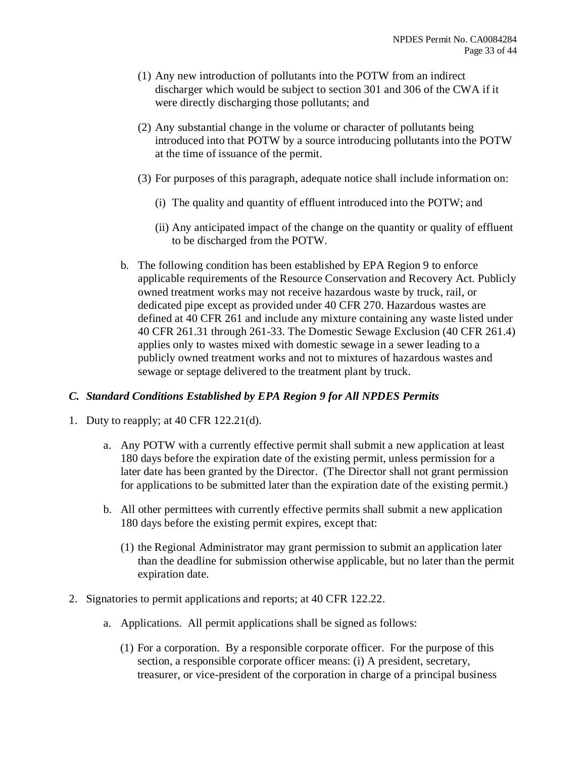- (1) Any new introduction of pollutants into the POTW from an indirect discharger which would be subject to section 301 and 306 of the CWA if it were directly discharging those pollutants; and
- (2) Any substantial change in the volume or character of pollutants being introduced into that POTW by a source introducing pollutants into the POTW at the time of issuance of the permit.
- (3) For purposes of this paragraph, adequate notice shall include information on:
	- (i) The quality and quantity of effluent introduced into the POTW; and
	- (ii) Any anticipated impact of the change on the quantity or quality of effluent to be discharged from the POTW.
- b. The following condition has been established by EPA Region 9 to enforce applicable requirements of the Resource Conservation and Recovery Act. Publicly owned treatment works may not receive hazardous waste by truck, rail, or dedicated pipe except as provided under 40 CFR 270. Hazardous wastes are defined at 40 CFR 261 and include any mixture containing any waste listed under 40 CFR 261.31 through 261-33. The Domestic Sewage Exclusion (40 CFR 261.4) applies only to wastes mixed with domestic sewage in a sewer leading to a publicly owned treatment works and not to mixtures of hazardous wastes and sewage or septage delivered to the treatment plant by truck.

#### *C. Standard Conditions Established by EPA Region 9 for All NPDES Permits*

- 1. Duty to reapply; at 40 CFR 122.21(d).
	- a. Any POTW with a currently effective permit shall submit a new application at least 180 days before the expiration date of the existing permit, unless permission for a later date has been granted by the Director. (The Director shall not grant permission for applications to be submitted later than the expiration date of the existing permit.)
	- b. All other permittees with currently effective permits shall submit a new application 180 days before the existing permit expires, except that:
		- (1) the Regional Administrator may grant permission to submit an application later than the deadline for submission otherwise applicable, but no later than the permit expiration date.
- 2. Signatories to permit applications and reports; at 40 CFR 122.22.
	- a. Applications. All permit applications shall be signed as follows:
		- (1) For a corporation. By a responsible corporate officer. For the purpose of this section, a responsible corporate officer means: (i) A president, secretary, treasurer, or vice-president of the corporation in charge of a principal business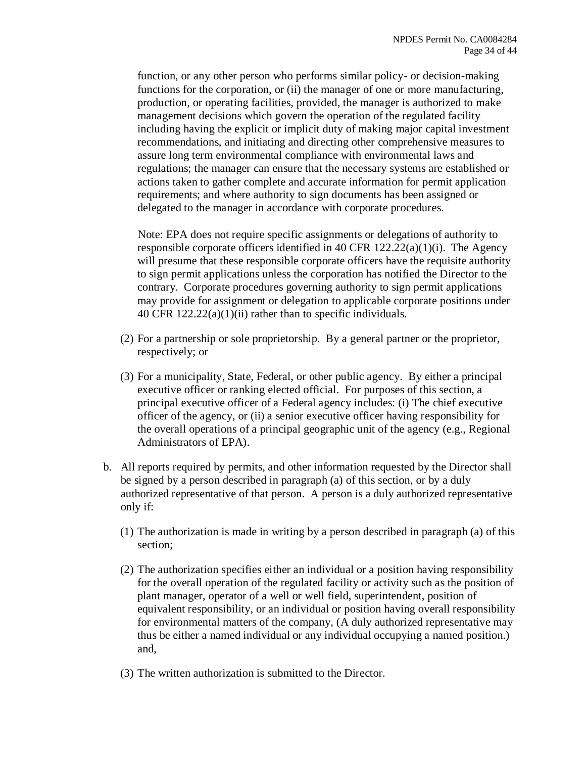function, or any other person who performs similar policy- or decision-making functions for the corporation, or (ii) the manager of one or more manufacturing, production, or operating facilities, provided, the manager is authorized to make management decisions which govern the operation of the regulated facility including having the explicit or implicit duty of making major capital investment recommendations, and initiating and directing other comprehensive measures to assure long term environmental compliance with environmental laws and regulations; the manager can ensure that the necessary systems are established or actions taken to gather complete and accurate information for permit application requirements; and where authority to sign documents has been assigned or delegated to the manager in accordance with corporate procedures.

Note: EPA does not require specific assignments or delegations of authority to responsible corporate officers identified in 40 CFR 122.22(a)(1)(i). The Agency will presume that these responsible corporate officers have the requisite authority to sign permit applications unless the corporation has notified the Director to the contrary. Corporate procedures governing authority to sign permit applications may provide for assignment or delegation to applicable corporate positions under 40 CFR 122.22(a)(1)(ii) rather than to specific individuals.

- (2) For a partnership or sole proprietorship. By a general partner or the proprietor, respectively; or
- (3) For a municipality, State, Federal, or other public agency. By either a principal executive officer or ranking elected official. For purposes of this section, a principal executive officer of a Federal agency includes: (i) The chief executive officer of the agency, or (ii) a senior executive officer having responsibility for the overall operations of a principal geographic unit of the agency (e.g., Regional Administrators of EPA).
- b. All reports required by permits, and other information requested by the Director shall be signed by a person described in paragraph (a) of this section, or by a duly authorized representative of that person. A person is a duly authorized representative only if:
	- (1) The authorization is made in writing by a person described in paragraph (a) of this section;
	- (2) The authorization specifies either an individual or a position having responsibility for the overall operation of the regulated facility or activity such as the position of plant manager, operator of a well or well field, superintendent, position of equivalent responsibility, or an individual or position having overall responsibility for environmental matters of the company, (A duly authorized representative may thus be either a named individual or any individual occupying a named position.) and,
	- (3) The written authorization is submitted to the Director.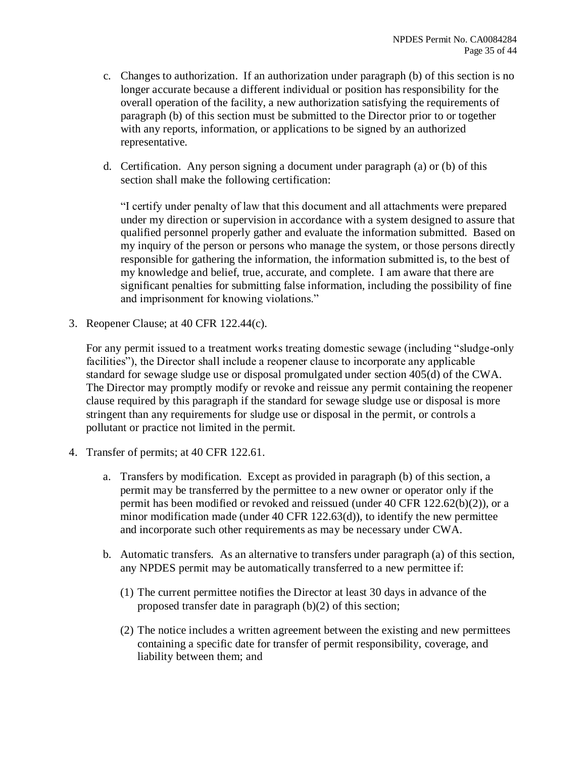- c. Changes to authorization. If an authorization under paragraph (b) of this section is no longer accurate because a different individual or position has responsibility for the overall operation of the facility, a new authorization satisfying the requirements of paragraph (b) of this section must be submitted to the Director prior to or together with any reports, information, or applications to be signed by an authorized representative.
- d. Certification. Any person signing a document under paragraph (a) or (b) of this section shall make the following certification:

"I certify under penalty of law that this document and all attachments were prepared under my direction or supervision in accordance with a system designed to assure that qualified personnel properly gather and evaluate the information submitted. Based on my inquiry of the person or persons who manage the system, or those persons directly responsible for gathering the information, the information submitted is, to the best of my knowledge and belief, true, accurate, and complete. I am aware that there are significant penalties for submitting false information, including the possibility of fine and imprisonment for knowing violations."

3. Reopener Clause; at 40 CFR 122.44(c).

For any permit issued to a treatment works treating domestic sewage (including "sludge-only facilities"), the Director shall include a reopener clause to incorporate any applicable standard for sewage sludge use or disposal promulgated under section 405(d) of the CWA. The Director may promptly modify or revoke and reissue any permit containing the reopener clause required by this paragraph if the standard for sewage sludge use or disposal is more stringent than any requirements for sludge use or disposal in the permit, or controls a pollutant or practice not limited in the permit.

- 4. Transfer of permits; at 40 CFR 122.61.
	- a. Transfers by modification. Except as provided in paragraph (b) of this section, a permit may be transferred by the permittee to a new owner or operator only if the permit has been modified or revoked and reissued (under 40 CFR 122.62(b)(2)), or a minor modification made (under 40 CFR 122.63(d)), to identify the new permittee and incorporate such other requirements as may be necessary under CWA.
	- b. Automatic transfers. As an alternative to transfers under paragraph (a) of this section, any NPDES permit may be automatically transferred to a new permittee if:
		- (1) The current permittee notifies the Director at least 30 days in advance of the proposed transfer date in paragraph (b)(2) of this section;
		- (2) The notice includes a written agreement between the existing and new permittees containing a specific date for transfer of permit responsibility, coverage, and liability between them; and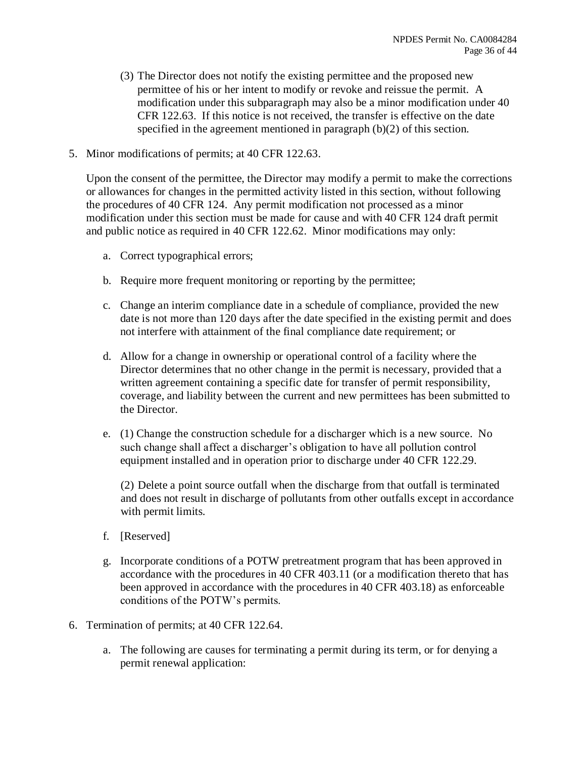- (3) The Director does not notify the existing permittee and the proposed new permittee of his or her intent to modify or revoke and reissue the permit. A modification under this subparagraph may also be a minor modification under 40 CFR 122.63. If this notice is not received, the transfer is effective on the date specified in the agreement mentioned in paragraph (b)(2) of this section.
- 5. Minor modifications of permits; at 40 CFR 122.63.

Upon the consent of the permittee, the Director may modify a permit to make the corrections or allowances for changes in the permitted activity listed in this section, without following the procedures of 40 CFR 124. Any permit modification not processed as a minor modification under this section must be made for cause and with 40 CFR 124 draft permit and public notice as required in 40 CFR 122.62. Minor modifications may only:

- a. Correct typographical errors;
- b. Require more frequent monitoring or reporting by the permittee;
- c. Change an interim compliance date in a schedule of compliance, provided the new date is not more than 120 days after the date specified in the existing permit and does not interfere with attainment of the final compliance date requirement; or
- d. Allow for a change in ownership or operational control of a facility where the Director determines that no other change in the permit is necessary, provided that a written agreement containing a specific date for transfer of permit responsibility, coverage, and liability between the current and new permittees has been submitted to the Director.
- e. (1) Change the construction schedule for a discharger which is a new source. No such change shall affect a discharger's obligation to have all pollution control equipment installed and in operation prior to discharge under 40 CFR 122.29.

(2) Delete a point source outfall when the discharge from that outfall is terminated and does not result in discharge of pollutants from other outfalls except in accordance with permit limits.

- f. [Reserved]
- g. Incorporate conditions of a POTW pretreatment program that has been approved in accordance with the procedures in 40 CFR 403.11 (or a modification thereto that has been approved in accordance with the procedures in 40 CFR 403.18) as enforceable conditions of the POTW's permits.
- 6. Termination of permits; at 40 CFR 122.64.
	- a. The following are causes for terminating a permit during its term, or for denying a permit renewal application: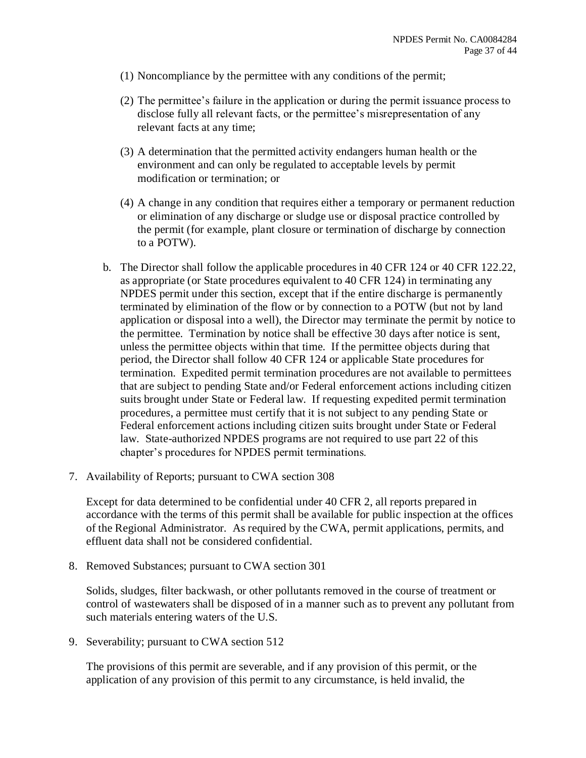- (1) Noncompliance by the permittee with any conditions of the permit;
- (2) The permittee's failure in the application or during the permit issuance process to disclose fully all relevant facts, or the permittee's misrepresentation of any relevant facts at any time;
- (3) A determination that the permitted activity endangers human health or the environment and can only be regulated to acceptable levels by permit modification or termination; or
- (4) A change in any condition that requires either a temporary or permanent reduction or elimination of any discharge or sludge use or disposal practice controlled by the permit (for example, plant closure or termination of discharge by connection to a POTW).
- b. The Director shall follow the applicable procedures in 40 CFR 124 or 40 CFR 122.22, as appropriate (or State procedures equivalent to 40 CFR 124) in terminating any NPDES permit under this section, except that if the entire discharge is permanently terminated by elimination of the flow or by connection to a POTW (but not by land application or disposal into a well), the Director may terminate the permit by notice to the permittee. Termination by notice shall be effective 30 days after notice is sent, unless the permittee objects within that time. If the permittee objects during that period, the Director shall follow 40 CFR 124 or applicable State procedures for termination. Expedited permit termination procedures are not available to permittees that are subject to pending State and/or Federal enforcement actions including citizen suits brought under State or Federal law. If requesting expedited permit termination procedures, a permittee must certify that it is not subject to any pending State or Federal enforcement actions including citizen suits brought under State or Federal law. State-authorized NPDES programs are not required to use part 22 of this chapter's procedures for NPDES permit terminations.
- 7. Availability of Reports; pursuant to CWA section 308

Except for data determined to be confidential under 40 CFR 2, all reports prepared in accordance with the terms of this permit shall be available for public inspection at the offices of the Regional Administrator. As required by the CWA, permit applications, permits, and effluent data shall not be considered confidential.

8. Removed Substances; pursuant to CWA section 301

Solids, sludges, filter backwash, or other pollutants removed in the course of treatment or control of wastewaters shall be disposed of in a manner such as to prevent any pollutant from such materials entering waters of the U.S.

9. Severability; pursuant to CWA section 512

The provisions of this permit are severable, and if any provision of this permit, or the application of any provision of this permit to any circumstance, is held invalid, the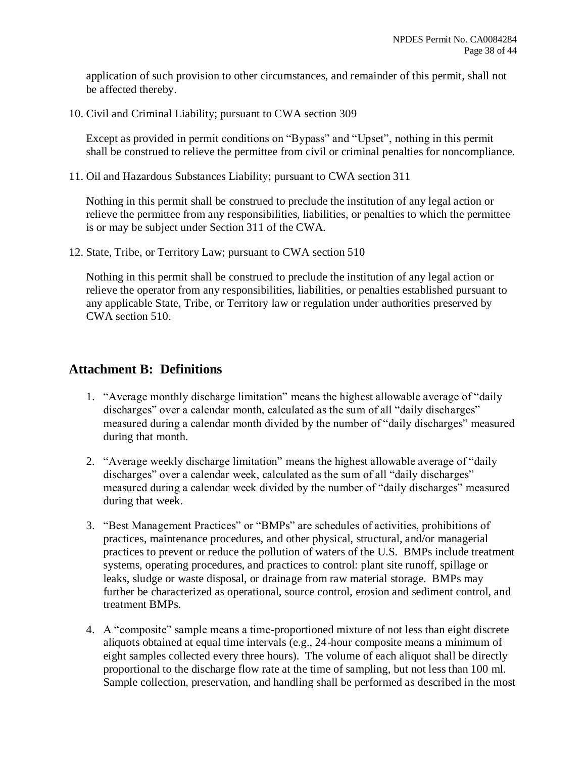application of such provision to other circumstances, and remainder of this permit, shall not be affected thereby.

10. Civil and Criminal Liability; pursuant to CWA section 309

Except as provided in permit conditions on "Bypass" and "Upset", nothing in this permit shall be construed to relieve the permittee from civil or criminal penalties for noncompliance.

11. Oil and Hazardous Substances Liability; pursuant to CWA section 311

Nothing in this permit shall be construed to preclude the institution of any legal action or relieve the permittee from any responsibilities, liabilities, or penalties to which the permittee is or may be subject under Section 311 of the CWA.

12. State, Tribe, or Territory Law; pursuant to CWA section 510

Nothing in this permit shall be construed to preclude the institution of any legal action or relieve the operator from any responsibilities, liabilities, or penalties established pursuant to any applicable State, Tribe, or Territory law or regulation under authorities preserved by CWA section 510.

## **Attachment B: Definitions**

- 1. "Average monthly discharge limitation" means the highest allowable average of "daily discharges" over a calendar month, calculated as the sum of all "daily discharges" measured during a calendar month divided by the number of "daily discharges" measured during that month.
- 2. "Average weekly discharge limitation" means the highest allowable average of "daily discharges" over a calendar week, calculated as the sum of all "daily discharges" measured during a calendar week divided by the number of "daily discharges" measured during that week.
- 3. "Best Management Practices" or "BMPs" are schedules of activities, prohibitions of practices, maintenance procedures, and other physical, structural, and/or managerial practices to prevent or reduce the pollution of waters of the U.S. BMPs include treatment systems, operating procedures, and practices to control: plant site runoff, spillage or leaks, sludge or waste disposal, or drainage from raw material storage. BMPs may further be characterized as operational, source control, erosion and sediment control, and treatment BMPs.
- 4. A "composite" sample means a time-proportioned mixture of not less than eight discrete aliquots obtained at equal time intervals (e.g., 24-hour composite means a minimum of eight samples collected every three hours). The volume of each aliquot shall be directly proportional to the discharge flow rate at the time of sampling, but not less than 100 ml. Sample collection, preservation, and handling shall be performed as described in the most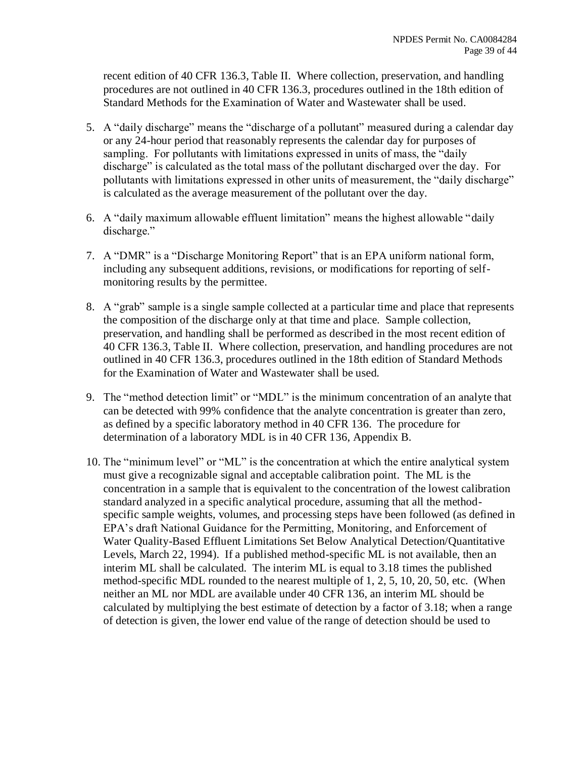recent edition of 40 CFR 136.3, Table II. Where collection, preservation, and handling procedures are not outlined in 40 CFR 136.3, procedures outlined in the 18th edition of Standard Methods for the Examination of Water and Wastewater shall be used.

- 5. A "daily discharge" means the "discharge of a pollutant" measured during a calendar day or any 24-hour period that reasonably represents the calendar day for purposes of sampling. For pollutants with limitations expressed in units of mass, the "daily discharge" is calculated as the total mass of the pollutant discharged over the day. For pollutants with limitations expressed in other units of measurement, the "daily discharge" is calculated as the average measurement of the pollutant over the day.
- 6. A "daily maximum allowable effluent limitation" means the highest allowable "daily discharge."
- 7. A "DMR" is a "Discharge Monitoring Report" that is an EPA uniform national form, including any subsequent additions, revisions, or modifications for reporting of selfmonitoring results by the permittee.
- 8. A "grab" sample is a single sample collected at a particular time and place that represents the composition of the discharge only at that time and place. Sample collection, preservation, and handling shall be performed as described in the most recent edition of 40 CFR 136.3, Table II. Where collection, preservation, and handling procedures are not outlined in 40 CFR 136.3, procedures outlined in the 18th edition of Standard Methods for the Examination of Water and Wastewater shall be used.
- 9. The "method detection limit" or "MDL" is the minimum concentration of an analyte that can be detected with 99% confidence that the analyte concentration is greater than zero, as defined by a specific laboratory method in 40 CFR 136. The procedure for determination of a laboratory MDL is in 40 CFR 136, Appendix B.
- 10. The "minimum level" or "ML" is the concentration at which the entire analytical system must give a recognizable signal and acceptable calibration point. The ML is the concentration in a sample that is equivalent to the concentration of the lowest calibration standard analyzed in a specific analytical procedure, assuming that all the methodspecific sample weights, volumes, and processing steps have been followed (as defined in EPA's draft National Guidance for the Permitting, Monitoring, and Enforcement of Water Quality-Based Effluent Limitations Set Below Analytical Detection/Quantitative Levels, March 22, 1994). If a published method-specific ML is not available, then an interim ML shall be calculated. The interim ML is equal to 3.18 times the published method-specific MDL rounded to the nearest multiple of 1, 2, 5, 10, 20, 50, etc. (When neither an ML nor MDL are available under 40 CFR 136, an interim ML should be calculated by multiplying the best estimate of detection by a factor of 3.18; when a range of detection is given, the lower end value of the range of detection should be used to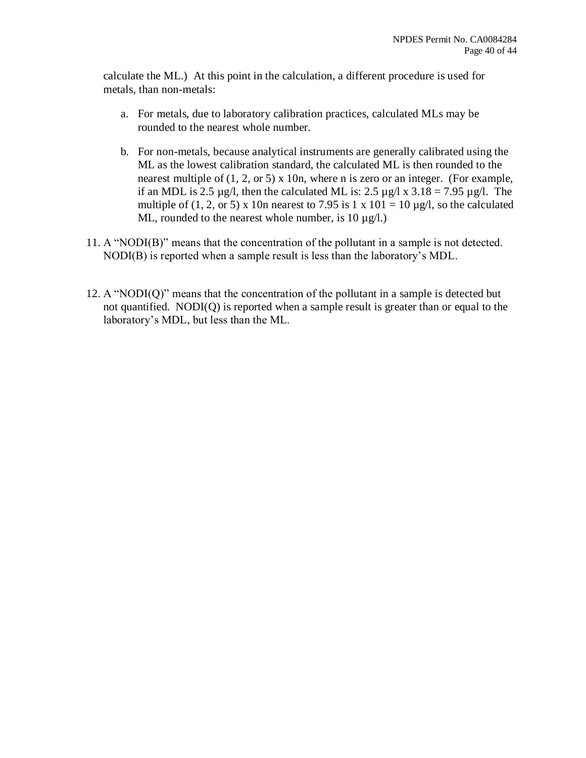calculate the ML.) At this point in the calculation, a different procedure is used for metals, than non-metals:

- a. For metals, due to laboratory calibration practices, calculated MLs may be rounded to the nearest whole number.
- b. For non-metals, because analytical instruments are generally calibrated using the ML as the lowest calibration standard, the calculated ML is then rounded to the nearest multiple of (1, 2, or 5) x 10n, where n is zero or an integer. (For example, if an MDL is 2.5  $\mu$ g/l, then the calculated ML is: 2.5  $\mu$ g/l x 3.18 = 7.95  $\mu$ g/l. The multiple of (1, 2, or 5) x 10n nearest to 7.95 is 1 x 101 = 10  $\mu$ g/l, so the calculated ML, rounded to the nearest whole number, is  $10 \mu g/l$ .)
- 11. A "NODI(B)" means that the concentration of the pollutant in a sample is not detected. NODI(B) is reported when a sample result is less than the laboratory's MDL.
- 12. A "NODI(Q)" means that the concentration of the pollutant in a sample is detected but not quantified. NODI(Q) is reported when a sample result is greater than or equal to the laboratory's MDL, but less than the ML.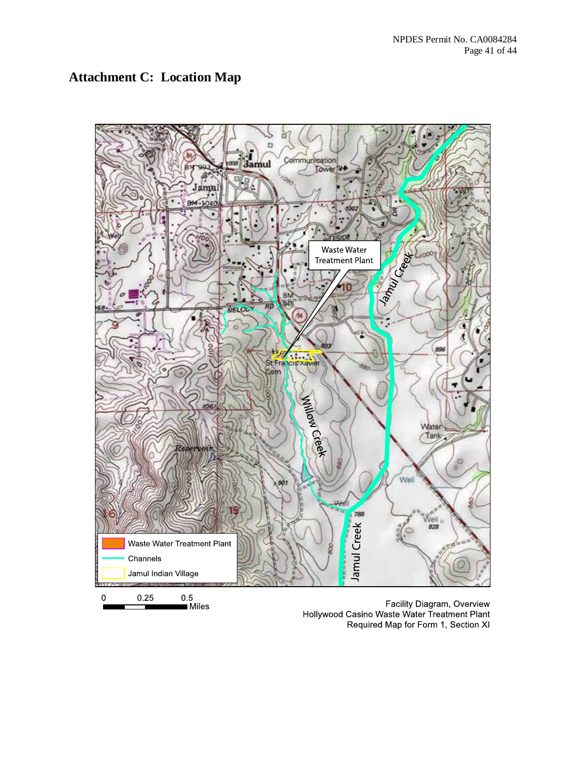# **Attachment C: Location Map**



Facility Diagram, Overview Hollywood Casino Waste Water Treatment Plant Required Map for Form 1, Section XI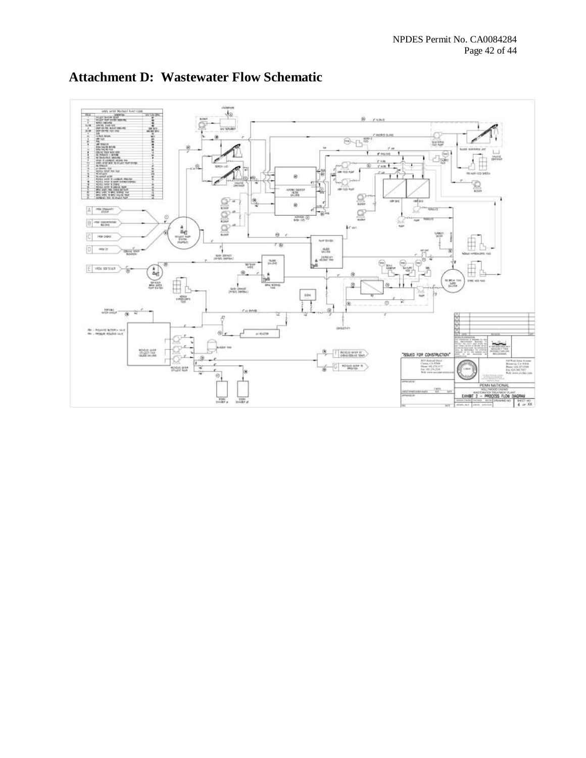

# **Attachment D: Wastewater Flow Schematic**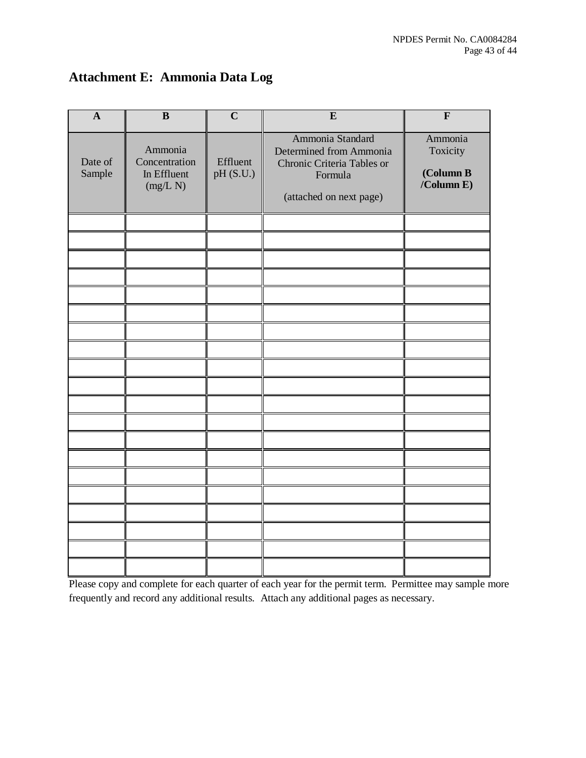# **Attachment E: Ammonia Data Log**

| $\mathbf{A}$      | $\overline{\mathbf{B}}$                             | $\overline{C}$        | $\bf{E}$                                                                                                        | $\mathbf{F}$                                         |
|-------------------|-----------------------------------------------------|-----------------------|-----------------------------------------------------------------------------------------------------------------|------------------------------------------------------|
| Date of<br>Sample | Ammonia<br>Concentration<br>In Effluent<br>(mg/L N) | Effluent<br>pH (S.U.) | Ammonia Standard<br>Determined from Ammonia<br>Chronic Criteria Tables or<br>Formula<br>(attached on next page) | Ammonia<br>Toxicity<br>(Column B<br>$/$ Column E $)$ |
|                   |                                                     |                       |                                                                                                                 |                                                      |
|                   |                                                     |                       |                                                                                                                 |                                                      |
|                   |                                                     |                       |                                                                                                                 |                                                      |
|                   |                                                     |                       |                                                                                                                 |                                                      |
|                   |                                                     |                       |                                                                                                                 |                                                      |
|                   |                                                     |                       |                                                                                                                 |                                                      |
|                   |                                                     |                       |                                                                                                                 |                                                      |
|                   |                                                     |                       |                                                                                                                 |                                                      |
|                   |                                                     |                       |                                                                                                                 |                                                      |
|                   |                                                     |                       |                                                                                                                 |                                                      |
|                   |                                                     |                       |                                                                                                                 |                                                      |
|                   |                                                     |                       |                                                                                                                 |                                                      |
|                   |                                                     |                       |                                                                                                                 |                                                      |
|                   |                                                     |                       |                                                                                                                 |                                                      |
|                   |                                                     |                       |                                                                                                                 |                                                      |
|                   |                                                     |                       |                                                                                                                 |                                                      |
|                   |                                                     |                       |                                                                                                                 |                                                      |
|                   |                                                     |                       |                                                                                                                 |                                                      |
|                   |                                                     |                       |                                                                                                                 |                                                      |

Please copy and complete for each quarter of each year for the permit term. Permittee may sample more frequently and record any additional results. Attach any additional pages as necessary.